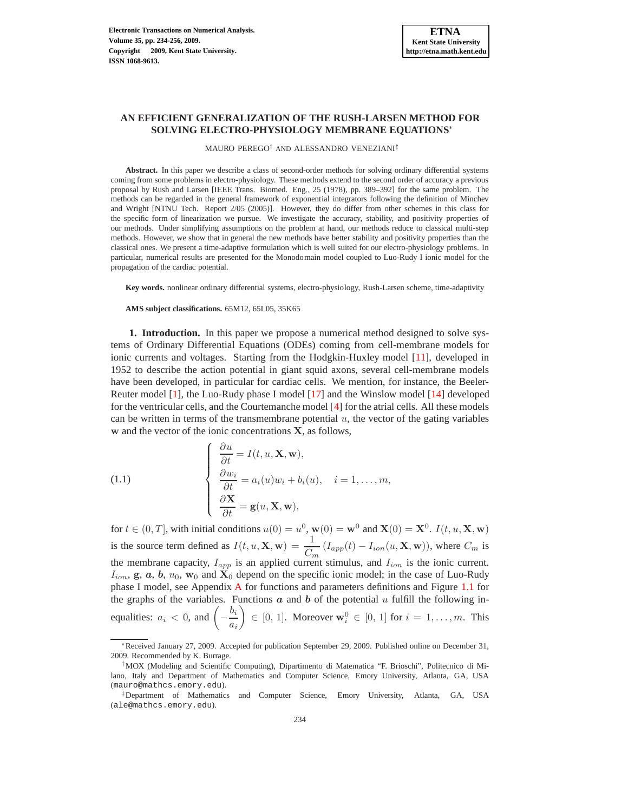# **AN EFFICIENT GENERALIZATION OF THE RUSH-LARSEN METHOD FOR SOLVING ELECTRO-PHYSIOLOGY MEMBRANE EQUATIONS**<sup>∗</sup>

MAURO PEREGO† AND ALESSANDRO VENEZIANI‡

**Abstract.** In this paper we describe a class of second-order methods for solving ordinary differential systems coming from some problems in electro-physiology. These methods extend to the second order of accuracy a previous proposal by Rush and Larsen [IEEE Trans. Biomed. Eng., 25 (1978), pp. 389–392] for the same problem. The methods can be regarded in the general framework of exponential integrators following the definition of Minchev and Wright [NTNU Tech. Report 2/05 (2005)]. However, they do differ from other schemes in this class for the specific form of linearization we pursue. We investigate the accuracy, stability, and positivity properties of our methods. Under simplifying assumptions on the problem at hand, our methods reduce to classical multi-step methods. However, we show that in general the new methods have better stability and positivity properties than the classical ones. We present a time-adaptive formulation which is well suited for our electro-physiology problems. In particular, numerical results are presented for the Monodomain model coupled to Luo-Rudy I ionic model for the propagation of the cardiac potential.

**Key words.** nonlinear ordinary differential systems, electro-physiology, Rush-Larsen scheme, time-adaptivity

**AMS subject classifications.** 65M12, 65L05, 35K65

**1. Introduction.** In this paper we propose a numerical method designed to solve systems of Ordinary Differential Equations (ODEs) coming from cell-membrane models for ionic currents and voltages. Starting from the Hodgkin-Huxley model [\[11\]](#page-22-0), developed in 1952 to describe the action potential in giant squid axons, several cell-membrane models have been developed, in particular for cardiac cells. We mention, for instance, the Beeler-Reuter model [\[1\]](#page-21-0), the Luo-Rudy phase I model [\[17\]](#page-22-1) and the Winslow model [\[14\]](#page-22-2) developed for the ventricular cells, and the Courtemanche model [\[4\]](#page-21-1) for the atrial cells. All these models can be written in terms of the transmembrane potential  $u$ , the vector of the gating variables w and the vector of the ionic concentrations X, as follows,

<span id="page-0-0"></span>(1.1) 
$$
\begin{cases} \frac{\partial u}{\partial t} = I(t, u, \mathbf{X}, \mathbf{w}), \\ \frac{\partial w_i}{\partial t} = a_i(u)w_i + b_i(u), \quad i = 1, ..., m, \\ \frac{\partial \mathbf{X}}{\partial t} = \mathbf{g}(u, \mathbf{X}, \mathbf{w}), \end{cases}
$$

for  $t \in (0, T]$ , with initial conditions  $u(0) = u^0$ ,  $w(0) = w^0$  and  $X(0) = X^0$ .  $I(t, u, X, w)$ is the source term defined as  $I(t, u, \mathbf{X}, \mathbf{w}) = \frac{1}{C_m} (I_{app}(t) - I_{ion}(u, \mathbf{X}, \mathbf{w}))$ , where  $C_m$  is the membrane capacity,  $I_{app}$  is an applied current stimulus, and  $I_{ion}$  is the ionic current.  $I_{ion}$ , g, a, b,  $u_0$ , w<sub>0</sub> and  $X_0$  depend on the specific ionic model; in the case of Luo-Rudy phase I model, see Appendix [A](#page-20-0) for functions and parameters definitions and Figure [1.1](#page-2-0) for the graphs of the variables. Functions  $a$  and  $b$  of the potential  $u$  fulfill the following inequalities:  $a_i < 0$ , and  $\left(-\frac{b_i}{a_i}\right)$ ai  $\Big\} \in [0, 1]$ . Moreover  $\mathbf{w}_i^0 \in [0, 1]$  for  $i = 1, \ldots, m$ . This

<sup>∗</sup>Received January 27, 2009. Accepted for publication September 29, 2009. Published online on December 31, 2009. Recommended by K. Burrage.

<sup>†</sup>MOX (Modeling and Scientific Computing), Dipartimento di Matematica "F. Brioschi", Politecnico di Milano, Italy and Department of Mathematics and Computer Science, Emory University, Atlanta, GA, USA (mauro@mathcs.emory.edu).

<sup>‡</sup>Department of Mathematics and Computer Science, Emory University, Atlanta, GA, USA (ale@mathcs.emory.edu).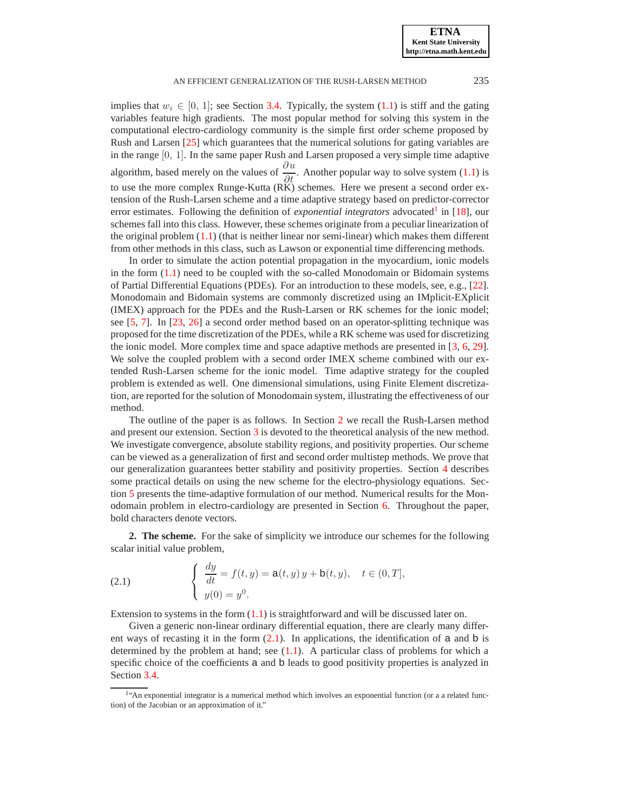implies that  $w_i \in [0, 1]$ ; see Section [3.4.](#page-8-0) Typically, the system [\(1.1\)](#page-0-0) is stiff and the gating variables feature high gradients. The most popular method for solving this system in the computational electro-cardiology community is the simple first order scheme proposed by Rush and Larsen [\[25\]](#page-22-3) which guarantees that the numerical solutions for gating variables are in the range [0, 1]. In the same paper Rush and Larsen proposed a very simple time adaptive algorithm, based merely on the values of  $\frac{\partial u}{\partial t}$ . Another popular way to solve system [\(1.1\)](#page-0-0) is to use the more complex Runge-Kutta  $(R\breve{K})$  schemes. Here we present a second order extension of the Rush-Larsen scheme and a time adaptive strategy based on predictor-corrector error estimates. Following the definition of *exponential integrators* advocated<sup>[1](#page-1-0)</sup> in [\[18\]](#page-22-4), our schemes fall into this class. However, these schemes originate from a peculiar linearization of the original problem  $(1.1)$  (that is neither linear nor semi-linear) which makes them different from other methods in this class, such as Lawson or exponential time differencing methods.

In order to simulate the action potential propagation in the myocardium, ionic models in the form  $(1.1)$  need to be coupled with the so-called Monodomain or Bidomain systems of Partial Differential Equations (PDEs). For an introduction to these models, see, e.g., [\[22\]](#page-22-5). Monodomain and Bidomain systems are commonly discretized using an IMplicit-EXplicit (IMEX) approach for the PDEs and the Rush-Larsen or RK schemes for the ionic model; see [\[5,](#page-21-2) [7\]](#page-21-3). In [\[23,](#page-22-6) [26\]](#page-22-7) a second order method based on an operator-splitting technique was proposed for the time discretization of the PDEs, while a RK scheme was used for discretizing the ionic model. More complex time and space adaptive methods are presented in [\[3,](#page-21-4) [6,](#page-21-5) [29\]](#page-22-8). We solve the coupled problem with a second order IMEX scheme combined with our extended Rush-Larsen scheme for the ionic model. Time adaptive strategy for the coupled problem is extended as well. One dimensional simulations, using Finite Element discretization, are reported for the solution of Monodomain system, illustrating the effectiveness of our method.

The outline of the paper is as follows. In Section [2](#page-1-1) we recall the Rush-Larsen method and present our extension. Section [3](#page-3-0) is devoted to the theoretical analysis of the new method. We investigate convergence, absolute stability regions, and positivity properties. Our scheme can be viewed as a generalization of first and second order multistep methods. We prove that our generalization guarantees better stability and positivity properties. Section [4](#page-10-0) describes some practical details on using the new scheme for the electro-physiology equations. Section [5](#page-12-0) presents the time-adaptive formulation of our method. Numerical results for the Monodomain problem in electro-cardiology are presented in Section [6.](#page-15-0) Throughout the paper, bold characters denote vectors.

<span id="page-1-1"></span>**2. The scheme.** For the sake of simplicity we introduce our schemes for the following scalar initial value problem,

<span id="page-1-2"></span>(2.1) 
$$
\begin{cases} \frac{dy}{dt} = f(t, y) = a(t, y) y + b(t, y), \quad t \in (0, T], \\ y(0) = y^0. \end{cases}
$$

Extension to systems in the form  $(1.1)$  is straightforward and will be discussed later on.

Given a generic non-linear ordinary differential equation, there are clearly many different ways of recasting it in the form  $(2.1)$ . In applications, the identification of a and b is determined by the problem at hand; see  $(1.1)$ . A particular class of problems for which a specific choice of the coefficients a and b leads to good positivity properties is analyzed in Section [3.4.](#page-8-0)

<span id="page-1-0"></span><sup>&</sup>lt;sup>1</sup>"An exponential integrator is a numerical method which involves an exponential function (or a a related function) of the Jacobian or an approximation of it."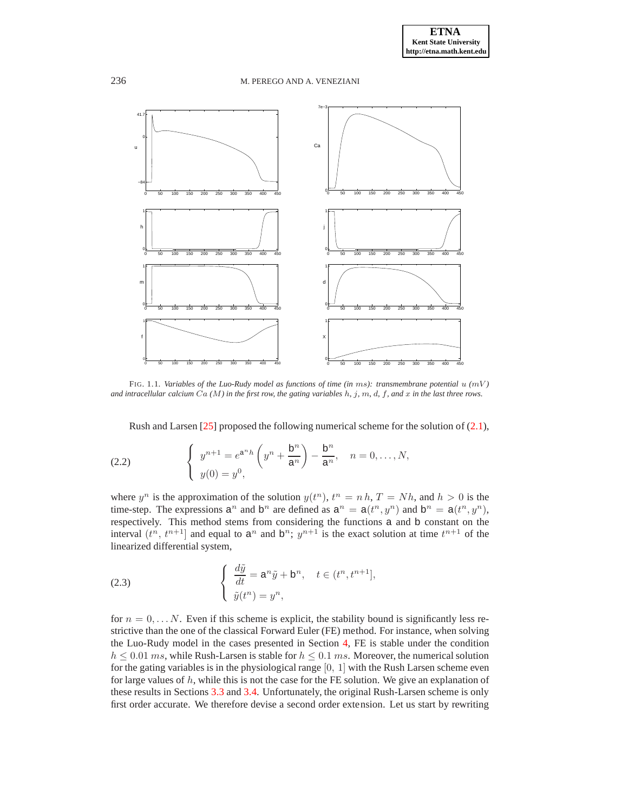

<span id="page-2-0"></span>FIG. 1.1. *Variables of the Luo-Rudy model as functions of time (in* ms*): transmembrane potential* u *(*mV *) and intracellular calcium* Ca *(*M*) in the first row, the gating variables* h*,* j*,* m*,* d*,* f*, and* x *in the last three rows.*

Rush and Larsen [\[25\]](#page-22-3) proposed the following numerical scheme for the solution of [\(2.1\)](#page-1-2),

<span id="page-2-1"></span>(2.2) 
$$
\begin{cases} y^{n+1} = e^{a^n h} \left( y^n + \frac{b^n}{a^n} \right) - \frac{b^n}{a^n}, & n = 0, ..., N, \\ y(0) = y^0, & \end{cases}
$$

where  $y^n$  is the approximation of the solution  $y(t^n)$ ,  $t^n = n h$ ,  $T = Nh$ , and  $h > 0$  is the time-step. The expressions  $a^n$  and  $b^n$  are defined as  $a^n = a(t^n, y^n)$  and  $b^n = a(t^n, y^n)$ , respectively. This method stems from considering the functions a and b constant on the interval  $(t^n, t^{n+1}]$  and equal to  $a^n$  and  $b^n$ ;  $y^{n+1}$  is the exact solution at time  $t^{n+1}$  of the linearized differential system,

(2.3) 
$$
\begin{cases} \frac{d\tilde{y}}{dt} = a^n \tilde{y} + b^n, \quad t \in (t^n, t^{n+1}], \\ \tilde{y}(t^n) = y^n, \end{cases}
$$

for  $n = 0, \ldots N$ . Even if this scheme is explicit, the stability bound is significantly less restrictive than the one of the classical Forward Euler (FE) method. For instance, when solving the Luo-Rudy model in the cases presented in Section [4,](#page-10-0) FE is stable under the condition  $h \leq 0.01$  ms, while Rush-Larsen is stable for  $h \leq 0.1$  ms. Moreover, the numerical solution for the gating variables is in the physiological range  $[0, 1]$  with the Rush Larsen scheme even for large values of  $h$ , while this is not the case for the FE solution. We give an explanation of these results in Sections [3.3](#page-7-0) and [3.4.](#page-8-0) Unfortunately, the original Rush-Larsen scheme is only first order accurate. We therefore devise a second order extension. Let us start by rewriting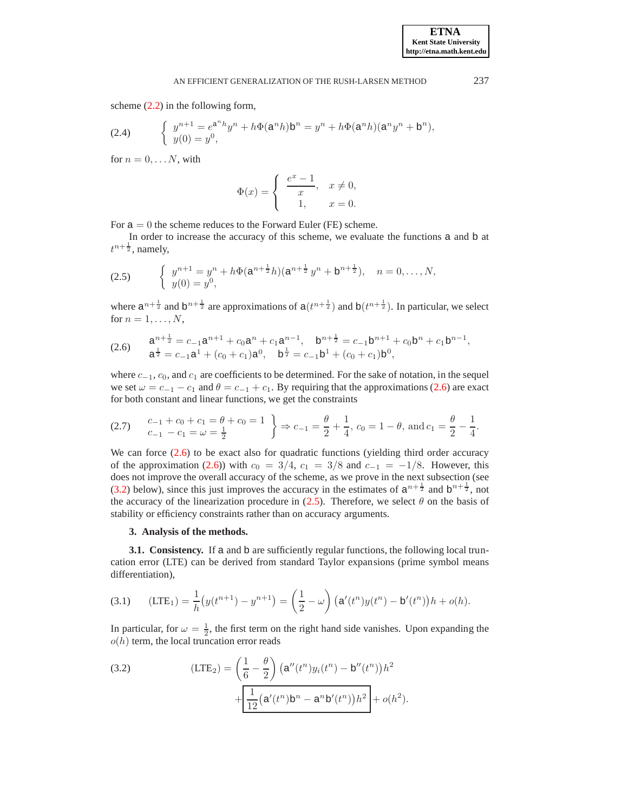scheme [\(2.2\)](#page-2-1) in the following form,

(2.4) 
$$
\begin{cases} y^{n+1} = e^{a^n h} y^n + h \Phi(a^n h) b^n = y^n + h \Phi(a^n h) (a^n y^n + b^n), \\ y(0) = y^0, \end{cases}
$$

for  $n = 0, \ldots N$ , with

$$
\Phi(x) = \begin{cases} \frac{e^x - 1}{x}, & x \neq 0, \\ 1, & x = 0. \end{cases}
$$

For  $a = 0$  the scheme reduces to the Forward Euler (FE) scheme.

In order to increase the accuracy of this scheme, we evaluate the functions a and b at  $t^{n+\frac{1}{2}}$ , namely,

<span id="page-3-3"></span>(2.5) 
$$
\begin{cases} y^{n+1} = y^n + h\Phi(\mathsf{a}^{n+\frac{1}{2}}h)(\mathsf{a}^{n+\frac{1}{2}}y^n + \mathsf{b}^{n+\frac{1}{2}}), & n = 0, \dots, N, \\ y(0) = y^0, & \end{cases}
$$

where  $a^{n+\frac{1}{2}}$  and  $b^{n+\frac{1}{2}}$  are approximations of  $a(t^{n+\frac{1}{2}})$  and  $b(t^{n+\frac{1}{2}})$ . In particular, we select for  $n = 1, \ldots, N$ ,

<span id="page-3-1"></span>(2.6) 
$$
a^{n+\frac{1}{2}} = c_{-1}a^{n+1} + c_0a^n + c_1a^{n-1}, \quad b^{n+\frac{1}{2}} = c_{-1}b^{n+1} + c_0b^n + c_1b^{n-1},
$$

$$
a^{\frac{1}{2}} = c_{-1}a^1 + (c_0 + c_1)a^0, \quad b^{\frac{1}{2}} = c_{-1}b^1 + (c_0 + c_1)b^0,
$$

where  $c_{-1}$ ,  $c_0$ , and  $c_1$  are coefficients to be determined. For the sake of notation, in the sequel we set  $\omega = c_{-1} - c_1$  and  $\theta = c_{-1} + c_1$ . By requiring that the approximations [\(2.6\)](#page-3-1) are exact for both constant and linear functions, we get the constraints

$$
(2.7) \quad\n\begin{aligned}\n& c_{-1} + c_0 + c_1 = \theta + c_0 = 1 \\
& c_{-1} - c_1 = \omega = \frac{1}{2}\n\end{aligned}\n\right\} \Rightarrow\nc_{-1} = \frac{\theta}{2} + \frac{1}{4},\n\begin{aligned}\n& c_0 = 1 - \theta,\n\end{aligned}\n\text{ and } c_1 = \frac{\theta}{2} - \frac{1}{4}.
$$

We can force  $(2.6)$  to be exact also for quadratic functions (yielding third order accuracy of the approximation [\(2.6\)](#page-3-1)) with  $c_0 = 3/4$ ,  $c_1 = 3/8$  and  $c_{-1} = -1/8$ . However, this does not improve the overall accuracy of the scheme, as we prove in the next subsection (see [\(3.2\)](#page-3-2) below), since this just improves the accuracy in the estimates of  $a^{n+\frac{1}{2}}$  and  $b^{n+\frac{1}{2}}$ , not the accuracy of the linearization procedure in [\(2.5\)](#page-3-3). Therefore, we select  $\theta$  on the basis of stability or efficiency constraints rather than on accuracy arguments.

# **3. Analysis of the methods.**

<span id="page-3-0"></span>**3.1. Consistency.** If a and b are sufficiently regular functions, the following local truncation error (LTE) can be derived from standard Taylor expansions (prime symbol means differentiation),

<span id="page-3-4"></span>(3.1) 
$$
(LTE_1) = \frac{1}{h}(y(t^{n+1}) - y^{n+1}) = \left(\frac{1}{2} - \omega\right) \left(\mathbf{a}'(t^n)y(t^n) - \mathbf{b}'(t^n)\right)h + o(h).
$$

In particular, for  $\omega = \frac{1}{2}$ , the first term on the right hand side vanishes. Upon expanding the  $o(h)$  term, the local truncation error reads

<span id="page-3-2"></span>(3.2) 
$$
\left(\text{LTE}_2\right) = \left(\frac{1}{6} - \frac{\theta}{2}\right) \left(\text{a}''(t^n) y_i(t^n) - \text{b}''(t^n)\right)h^2 + \frac{1}{12}\left(\text{a}'(t^n)\text{b}^n - \text{a}^n\text{b}'(t^n)\right)h^2 + o(h^2).
$$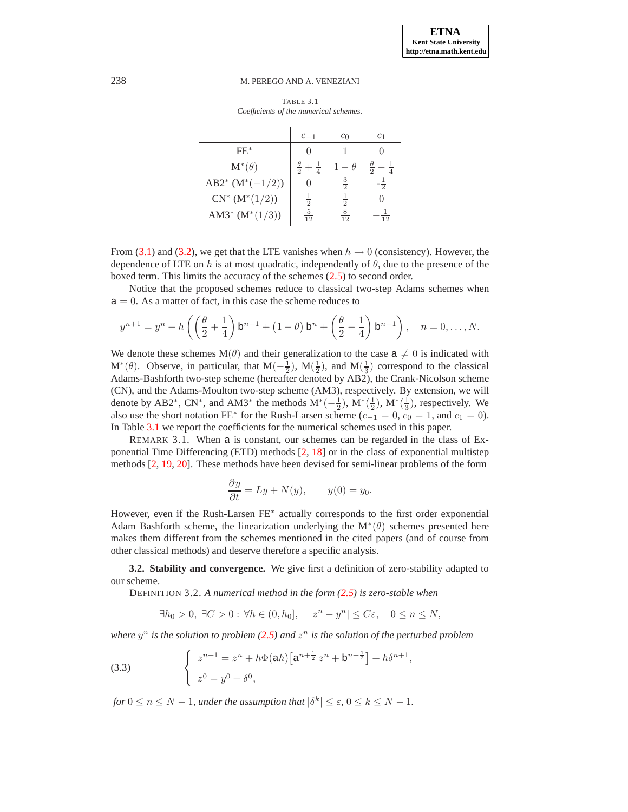TABLE 3.1 *Coefficients of the numerical schemes.*

<span id="page-4-0"></span>

|                        | $c_{-1}$                            | $c_0$          | $_{c_1}$       |
|------------------------|-------------------------------------|----------------|----------------|
| $FE*$                  |                                     |                |                |
| $\mathbf{M}^*(\theta)$ | $\frac{\theta}{2}$<br>$\frac{1}{4}$ | $-\theta$      |                |
| AB2* $(M^*(-1/2))$     |                                     | $\frac{3}{2}$  | ᢛ              |
| $CN^*(M^*(1/2))$       | $\frac{1}{2}$                       | $\frac{1}{2}$  |                |
| AM3* $(M^*(1/3))$      | $\frac{5}{12}$                      | $\frac{8}{12}$ | 1 <sub>2</sub> |

From [\(3.1\)](#page-3-4) and [\(3.2\)](#page-3-2), we get that the LTE vanishes when  $h \to 0$  (consistency). However, the dependence of LTE on h is at most quadratic, independently of  $\theta$ , due to the presence of the boxed term. This limits the accuracy of the schemes [\(2.5\)](#page-3-3) to second order.

Notice that the proposed schemes reduce to classical two-step Adams schemes when  $a = 0$ . As a matter of fact, in this case the scheme reduces to

$$
y^{n+1} = y^n + h\left(\left(\frac{\theta}{2} + \frac{1}{4}\right)b^{n+1} + (1-\theta)b^n + \left(\frac{\theta}{2} - \frac{1}{4}\right)b^{n-1}\right), \quad n = 0, \dots, N.
$$

We denote these schemes M( $\theta$ ) and their generalization to the case  $a \neq 0$  is indicated with  $M^*(\theta)$ . Observe, in particular, that  $M(-\frac{1}{2})$ ,  $M(\frac{1}{2})$ , and  $M(\frac{1}{3})$  correspond to the classical Adams-Bashforth two-step scheme (hereafter denoted by AB2), the Crank-Nicolson scheme (CN), and the Adams-Moulton two-step scheme (AM3), respectively. By extension, we will denote by AB2<sup>\*</sup>, CN<sup>\*</sup>, and AM3<sup>\*</sup> the methods  $M^*(-\frac{1}{2})$ ,  $M^*(\frac{1}{2})$ ,  $M^*(\frac{1}{3})$ , respectively. We also use the short notation FE<sup>\*</sup> for the Rush-Larsen scheme ( $c_{-1} = 0$ ,  $c_0 = 1$ , and  $c_1 = 0$ ). In Table [3.1](#page-4-0) we report the coefficients for the numerical schemes used in this paper.

REMARK 3.1. When a is constant, our schemes can be regarded in the class of Exponential Time Differencing (ETD) methods [\[2,](#page-21-6) [18\]](#page-22-4) or in the class of exponential multistep methods [\[2,](#page-21-6) [19,](#page-22-9) [20\]](#page-22-10). These methods have been devised for semi-linear problems of the form

$$
\frac{\partial y}{\partial t} = Ly + N(y), \qquad y(0) = y_0.
$$

However, even if the Rush-Larsen FE<sup>\*</sup> actually corresponds to the first order exponential Adam Bashforth scheme, the linearization underlying the  $M^*(\theta)$  schemes presented here makes them different from the schemes mentioned in the cited papers (and of course from other classical methods) and deserve therefore a specific analysis.

**3.2. Stability and convergence.** We give first a definition of zero-stability adapted to our scheme.

DEFINITION 3.2. *A numerical method in the form [\(2.5\)](#page-3-3) is zero-stable when*

$$
\exists h_0 > 0, \ \exists C > 0 : \forall h \in (0, h_0], \quad |z^n - y^n| \le C\varepsilon, \quad 0 \le n \le N,
$$

where  $y^n$  is the solution to problem [\(2.5\)](#page-3-3) and  $z^n$  is the solution of the perturbed problem

<span id="page-4-1"></span>(3.3) 
$$
\begin{cases} z^{n+1} = z^n + h\Phi(\mathsf{a}h) \left[ \mathsf{a}^{n+\frac{1}{2}} z^n + \mathsf{b}^{n+\frac{1}{2}} \right] + h\delta^{n+1}, \\ z^0 = y^0 + \delta^0, \end{cases}
$$

*for*  $0 \le n \le N - 1$ *, under the assumption that*  $|\delta^k| \le \varepsilon$ *,*  $0 \le k \le N - 1$ *.*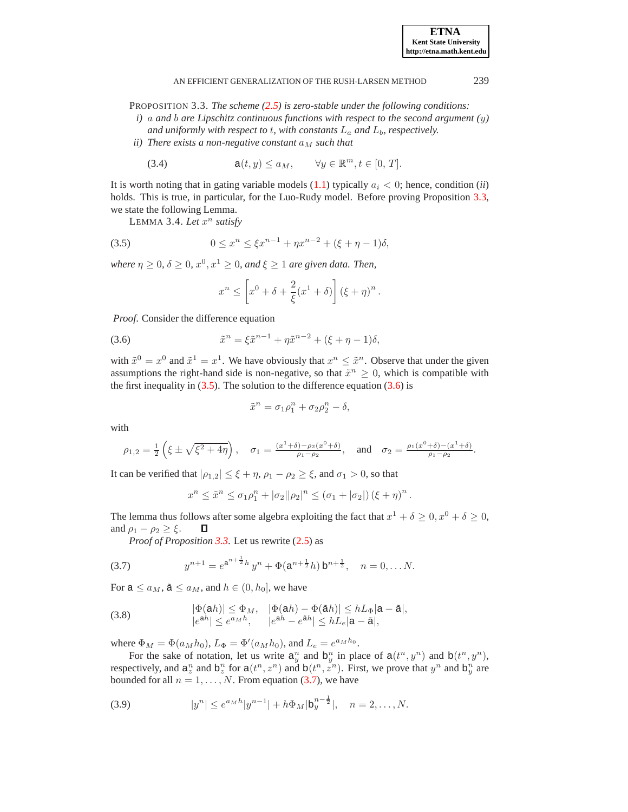<span id="page-5-0"></span>PROPOSITION 3.3. *The scheme [\(2.5\)](#page-3-3) is zero-stable under the following conditions:*

- *i)* a *and* b *are Lipschitz continuous functions with respect to the second argument (*y*)* and uniformly with respect to t, with constants  $L_a$  and  $L_b$ , respectively.
- *ii)* There exists a non-negative constant  $a_M$  such that

(3.4) 
$$
a(t, y) \le a_M, \qquad \forall y \in \mathbb{R}^m, t \in [0, T].
$$

It is worth noting that in gating variable models  $(1.1)$  typically  $a_i < 0$ ; hence, condition *(ii)* holds. This is true, in particular, for the Luo-Rudy model. Before proving Proposition [3.3,](#page-5-0) we state the following Lemma.

<span id="page-5-5"></span><span id="page-5-1"></span>LEMMA 3.4. Let  $x^n$  satisfy

(3.5) 
$$
0 \le x^n \le \xi x^{n-1} + \eta x^{n-2} + (\xi + \eta - 1)\delta,
$$

*where*  $\eta \geq 0$ ,  $\delta \geq 0$ ,  $x^0, x^1 \geq 0$ , and  $\xi \geq 1$  are given data. Then,

$$
x^{n} \leq \left[x^{0} + \delta + \frac{2}{\xi}(x^{1} + \delta)\right] (\xi + \eta)^{n}.
$$

*Proof*. Consider the difference equation

<span id="page-5-2"></span>(3.6) 
$$
\tilde{x}^n = \xi \tilde{x}^{n-1} + \eta \tilde{x}^{n-2} + (\xi + \eta - 1)\delta,
$$

with  $\tilde{x}^0 = x^0$  and  $\tilde{x}^1 = x^1$ . We have obviously that  $x^n \leq \tilde{x}^n$ . Observe that under the given assumptions the right-hand side is non-negative, so that  $\tilde{x}^n \geq 0$ , which is compatible with the first inequality in  $(3.5)$ . The solution to the difference equation  $(3.6)$  is

$$
\tilde{x}^n = \sigma_1 \rho_1^n + \sigma_2 \rho_2^n - \delta,
$$

with

$$
\rho_{1,2} = \frac{1}{2} \left( \xi \pm \sqrt{\xi^2 + 4\eta} \right), \quad \sigma_1 = \frac{(x^1 + \delta) - \rho_2(x^0 + \delta)}{\rho_1 - \rho_2}, \quad \text{and} \quad \sigma_2 = \frac{\rho_1(x^0 + \delta) - (x^1 + \delta)}{\rho_1 - \rho_2}.
$$

It can be verified that  $|\rho_{1,2}| \leq \xi + \eta$ ,  $\rho_1 - \rho_2 \geq \xi$ , and  $\sigma_1 > 0$ , so that

$$
x^{n} \leq \tilde{x}^{n} \leq \sigma_1 \rho_1^{n} + |\sigma_2||\rho_2|^{n} \leq (\sigma_1 + |\sigma_2|) (\xi + \eta)^{n}.
$$

The lemma thus follows after some algebra exploiting the fact that  $x^1 + \delta \ge 0, x^0 + \delta \ge 0$ , and  $\rho_1 - \rho_2 \geq \xi$ . Д

*Proof of Proposition [3.3](#page-5-0)*. Let us rewrite [\(2.5\)](#page-3-3) as

<span id="page-5-3"></span>(3.7) 
$$
y^{n+1} = e^{a^{n+\frac{1}{2}}h} y^n + \Phi(a^{n+\frac{1}{2}}h) b^{n+\frac{1}{2}}, \quad n = 0, \dots N.
$$

For  $a \le a_M$ ,  $\tilde{a} \le a_M$ , and  $h \in (0, h_0]$ , we have

(3.8) 
$$
|\Phi(\mathsf{a}h)| \leq \Phi_M, \quad |\Phi(\mathsf{a}h) - \Phi(\tilde{\mathsf{a}}h)| \leq hL_{\Phi}|\mathsf{a} - \tilde{\mathsf{a}}|,
$$

$$
|e^{\mathsf{a}h}| \leq e^{a_M h}, \quad |e^{\mathsf{a}h} - e^{\tilde{\mathsf{a}}h}| \leq hL_e|\mathsf{a} - \tilde{\mathsf{a}}|,
$$

where  $\Phi_M = \Phi(a_M h_0)$ ,  $L_{\Phi} = \Phi'(a_M h_0)$ , and  $L_e = e^{a_M h_0}$ .

For the sake of notation, let us write  $a_y^n$  and  $b_y^n$  in place of  $a(t^n, y^n)$  and  $b(t^n, y^n)$ , respectively, and  $a_n^n$  and  $b_n^n$  for  $a(t^n, z^n)$  and  $b(t^n, z^n)$ . First, we prove that  $y^n$  and  $b_n^n$  are bounded for all  $n = 1, \ldots, N$ . From equation [\(3.7\)](#page-5-3), we have

<span id="page-5-4"></span>(3.9) 
$$
|y^n| \le e^{a_M h} |y^{n-1}| + h \Phi_M |b_y^{n-\frac{1}{2}}|, \quad n = 2, ..., N.
$$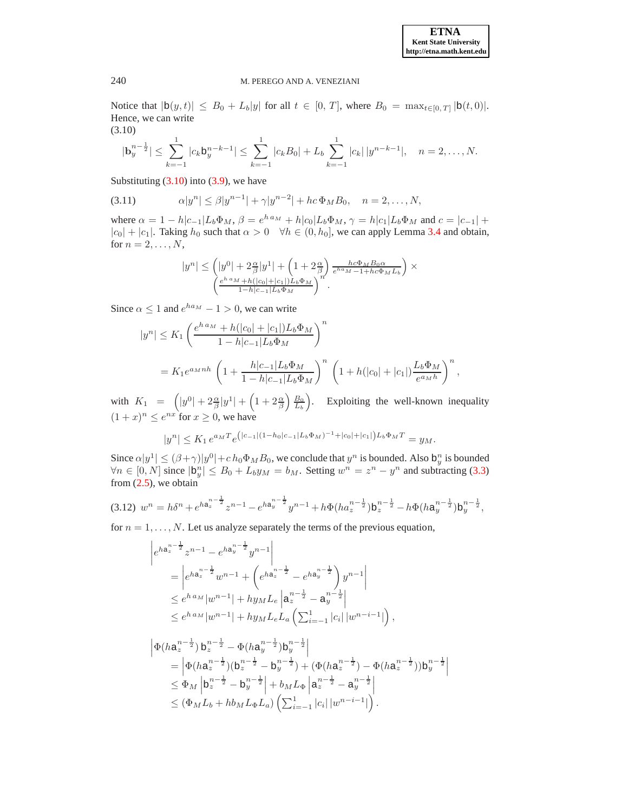Notice that  $|b(y, t)| \leq B_0 + L_b|y|$  for all  $t \in [0, T]$ , where  $B_0 = \max_{t \in [0, T]} |b(t, 0)|$ . Hence, we can write (3.10)

$$
|\mathbf{b}_y^{n-\frac{1}{2}}| \leq \sum_{k=-1}^1 |c_k b_y^{n-k-1}| \leq \sum_{k=-1}^1 |c_k B_0| + L_b \sum_{k=-1}^1 |c_k| |y^{n-k-1}|, \quad n = 2, \dots, N.
$$

<span id="page-6-0"></span>Substituting  $(3.10)$  into  $(3.9)$ , we have

(3.11) 
$$
\alpha |y^n| \leq \beta |y^{n-1}| + \gamma |y^{n-2}| + hc \Phi_M B_0, \quad n = 2, ..., N,
$$

where  $\alpha = 1 - h|c_{-1}|L_b\Phi_M$ ,  $\beta = e^{h a_M} + h|c_0|L_b\Phi_M$ ,  $\gamma = h|c_1|L_b\Phi_M$  and  $c = |c_{-1}| + h|c_0|L_b\Phi_M$  $|c_0| + |c_1|$ . Taking  $h_0$  such that  $\alpha > 0 \quad \forall h \in (0, h_0]$ , we can apply Lemma [3.4](#page-5-5) and obtain, for  $n = 2, \ldots, N$ ,

$$
|y^n| \le \left(|y^0| + 2\frac{\alpha}{\beta}|y^1| + \left(1 + 2\frac{\alpha}{\beta}\right)\frac{hc\Phi_M B_0 \alpha}{e^{ha_M} - 1 + hc\Phi_M L_b}\right) \times \left(\frac{e^{h\,a_M} + h(|c_0| + |c_1|)L_b \Phi_M}{1 - h|c_{-1}|L_b \Phi_M}\right)^n.
$$

Since  $\alpha \le 1$  and  $e^{ha_M} - 1 > 0$ , we can write

$$
|y^n| \le K_1 \left(\frac{e^{h a_M} + h(|c_0| + |c_1|) L_b \Phi_M}{1 - h|c_{-1}|L_b \Phi_M}\right)^n
$$
  
=  $K_1 e^{a_M n h} \left(1 + \frac{h|c_{-1}|L_b \Phi_M}{1 - h|c_{-1}|L_b \Phi_M}\right)^n \left(1 + h(|c_0| + |c_1|) \frac{L_b \Phi_M}{e^{a_M h}}\right)^n$ ,

with  $K_1 = \left(|y^0| + 2\frac{\alpha}{\beta}|y^1| + \left(1 + 2\frac{\alpha}{\beta}\right)\frac{B_0}{L_b}\right)$ . Exploiting the well-known inequality  $(1+x)^n \leq e^{nx}$  for  $x \geq 0$ , we have

$$
|y^n| \le K_1 e^{a_M T} e^{\left(|c_{-1}|(1-h_0|c_{-1}|L_b\Phi_M)^{-1}+|c_0|+|c_1|\right)L_b\Phi_M T} = y_M.
$$

Since  $\alpha|y^1| \leq (\beta+\gamma)|y^0| + ch_0\Phi_M B_0$ , we conclude that  $y^n$  is bounded. Also  $b_y^n$  is bounded  $\forall n \in [0, N]$  since  $|b_y^n| \leq B_0 + L_b y_M = b_M$ . Setting  $w^n = z^n - y^n$  and subtracting [\(3.3\)](#page-4-1) from  $(2.5)$ , we obtain

<span id="page-6-1"></span>
$$
(3.12) \ w^n = h\delta^n + e^{ha_z^{n-\frac{1}{2}}}z^{n-1} - e^{ha_y^{n-\frac{1}{2}}}y^{n-1} + h\Phi(ha_z^{n-\frac{1}{2}})b_z^{n-\frac{1}{2}} - h\Phi(ha_y^{n-\frac{1}{2}})b_y^{n-\frac{1}{2}},
$$

for  $n = 1, \ldots, N$ . Let us analyze separately the terms of the previous equation,

$$
\begin{aligned}\n\left| e^{ha_{z}^{n-\frac{1}{2}}z^{n-1} - e^{ha_{y}^{n-\frac{1}{2}}}y^{n-1} \right| \\
&= \left| e^{ha_{z}^{n-\frac{1}{2}}}w^{n-1} + \left( e^{ha_{z}^{n-\frac{1}{2}}} - e^{ha_{y}^{n-\frac{1}{2}}} \right) y^{n-1} \right| \\
&\leq e^{ha_{M}}|w^{n-1}| + hy_{M}L_{e} \left| a_{z}^{n-\frac{1}{2}} - a_{y}^{n-\frac{1}{2}} \right| \\
&\leq e^{ha_{M}}|w^{n-1}| + hy_{M}L_{e}L_{a} \left( \sum_{i=-1}^{1} |c_{i}| |w^{n-i-1} \right),\n\end{aligned}
$$

$$
\begin{split} \left| \Phi(ha_{z}^{n-\frac{1}{2}}) b_{z}^{n-\frac{1}{2}} - \Phi(ha_{y}^{n-\frac{1}{2}}) b_{y}^{n-\frac{1}{2}} \right| \\ &= \left| \Phi(ha_{z}^{n-\frac{1}{2}}) (b_{z}^{n-\frac{1}{2}} - b_{y}^{n-\frac{1}{2}}) + (\Phi(ha_{z}^{n-\frac{1}{2}}) - \Phi(ha_{z}^{n-\frac{1}{2}})) b_{y}^{n-\frac{1}{2}} \right| \\ &\leq \Phi_{M} \left| b_{z}^{n-\frac{1}{2}} - b_{y}^{n-\frac{1}{2}} \right| + b_{M} L_{\Phi} \left| a_{z}^{n-\frac{1}{2}} - a_{y}^{n-\frac{1}{2}} \right| \\ &\leq (\Phi_{M} L_{b} + h b_{M} L_{\Phi} L_{a}) \left( \sum_{i=-1}^{1} |c_{i}| |w^{n-i-1} | \right). \end{split}
$$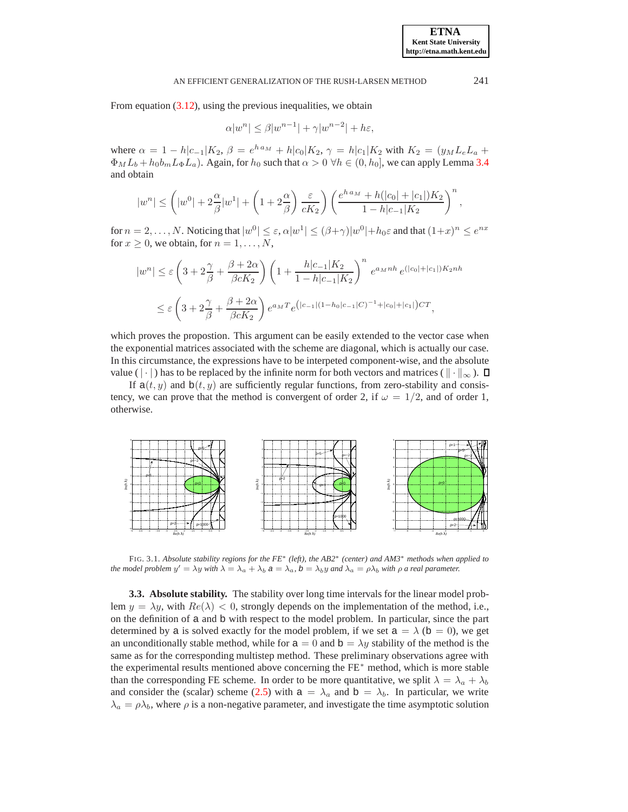From equation [\(3.12\)](#page-6-1), using the previous inequalities, we obtain

$$
\alpha |w^n| \le \beta |w^{n-1}| + \gamma |w^{n-2}| + h\varepsilon,
$$

where  $\alpha = 1 - h|c_{-1}|K_2$ ,  $\beta = e^{h a_M} + h|c_0|K_2$ ,  $\gamma = h|c_1|K_2$  with  $K_2 = (y_M L_e L_a +$  $\Phi_M L_b + h_0 b_m L_{\Phi} L_a$ ). Again, for  $h_0$  such that  $\alpha > 0 \ \forall h \in (0, h_0]$ , we can apply Lemma [3.4](#page-5-5) and obtain

$$
|w^n|\leq \left(|w^0|+2\frac{\alpha}{\beta}|w^1|+\left(1+2\frac{\alpha}{\beta}\right)\frac{\varepsilon}{cK_2}\right)\left(\frac{e^{h\,a_M}+h(|c_0|+|c_1|)K_2}{1-h|c_{-1}|K_2}\right)^n,
$$

for  $n=2,\ldots,N$ . Noticing that  $|w^0|\leq\varepsilon, \alpha |w^1|\leq(\beta+\gamma)|w^0|+h_0\varepsilon$  and that  $(1+x)^n\leq e^{nx}$ for  $x \geq 0$ , we obtain, for  $n = 1, \ldots, N$ ,

$$
|w^n| \le \varepsilon \left(3 + 2\frac{\gamma}{\beta} + \frac{\beta + 2\alpha}{\beta c K_2}\right) \left(1 + \frac{h|c_{-1}|K_2}{1 - h|c_{-1}|K_2}\right)^n e^{a_M n h} e^{(|c_0| + |c_1|)K_2 n h}
$$
  

$$
\le \varepsilon \left(3 + 2\frac{\gamma}{\beta} + \frac{\beta + 2\alpha}{\beta c K_2}\right) e^{a_M T} e^{(|c_{-1}| (1 - h_0|c_{-1}|C)^{-1} + |c_0| + |c_1|)C T},
$$

which proves the propostion. This argument can be easily extended to the vector case when the exponential matrices associated with the scheme are diagonal, which is actually our case. In this circumstance, the expressions have to be interpeted component-wise, and the absolute value ( $|\cdot|$ ) has to be replaced by the infinite norm for both vectors and matrices ( $\|\cdot\|_{\infty}$ ).  $\Box$ 

If  $a(t, y)$  and  $b(t, y)$  are sufficiently regular functions, from zero-stability and consistency, we can prove that the method is convergent of order 2, if  $\omega = 1/2$ , and of order 1, otherwise.

<span id="page-7-0"></span>

<span id="page-7-1"></span>FIG. 3.1. *Absolute stability regions for the FE*<sup>∗</sup> *(left), the AB2*<sup>∗</sup> *(center) and AM3*<sup>∗</sup> *methods when applied to the model problem*  $y' = \lambda y$  *with*  $\lambda = \lambda_a + \lambda_b$   $a = \lambda_a$ ,  $b = \lambda_b y$  *and*  $\lambda_a = \rho \lambda_b$  *with*  $\rho$  *a real parameter.* 

**3.3. Absolute stability.** The stability over long time intervals for the linear model problem  $y = \lambda y$ , with  $Re(\lambda) < 0$ , strongly depends on the implementation of the method, i.e., on the definition of a and b with respect to the model problem. In particular, since the part determined by a is solved exactly for the model problem, if we set  $a = \lambda$  (b = 0), we get an unconditionally stable method, while for  $a = 0$  and  $b = \lambda y$  stability of the method is the same as for the corresponding multistep method. These preliminary observations agree with the experimental results mentioned above concerning the FE<sup>∗</sup> method, which is more stable than the corresponding FE scheme. In order to be more quantitative, we split  $\lambda = \lambda_a + \lambda_b$ and consider the (scalar) scheme [\(2.5\)](#page-3-3) with  $a = \lambda_a$  and  $b = \lambda_b$ . In particular, we write  $\lambda_a = \rho \lambda_b$ , where  $\rho$  is a non-negative parameter, and investigate the time asymptotic solution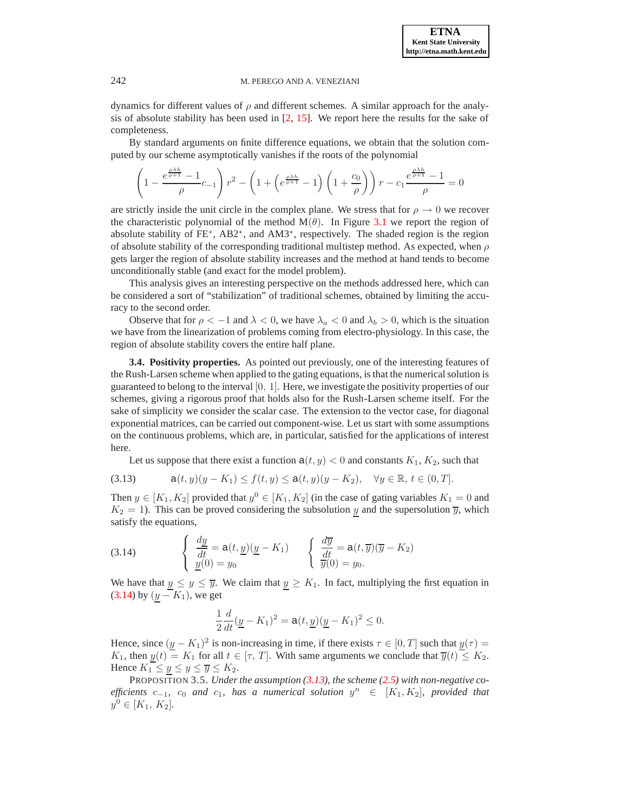dynamics for different values of  $\rho$  and different schemes. A similar approach for the analysis of absolute stability has been used in  $[2, 15]$  $[2, 15]$  $[2, 15]$ . We report here the results for the sake of completeness.

By standard arguments on finite difference equations, we obtain that the solution computed by our scheme asymptotically vanishes if the roots of the polynomial

$$
\left(1 - \frac{e^{\frac{\rho \lambda h}{\rho + 1}} - 1}{\rho} c_{-1}\right) r^2 - \left(1 + \left(e^{\frac{\rho \lambda h}{\rho + 1}} - 1\right) \left(1 + \frac{c_0}{\rho}\right)\right) r - c_1 \frac{e^{\frac{\rho \lambda h}{\rho + 1}} - 1}{\rho} = 0
$$

are strictly inside the unit circle in the complex plane. We stress that for  $\rho \to 0$  we recover the characteristic polynomial of the method  $M(\theta)$ . In Figure [3.1](#page-7-1) we report the region of absolute stability of FE<sup>\*</sup>, AB2<sup>\*</sup>, and AM3<sup>\*</sup>, respectively. The shaded region is the region of absolute stability of the corresponding traditional multistep method. As expected, when  $\rho$ gets larger the region of absolute stability increases and the method at hand tends to become unconditionally stable (and exact for the model problem).

This analysis gives an interesting perspective on the methods addressed here, which can be considered a sort of "stabilization" of traditional schemes, obtained by limiting the accuracy to the second order.

Observe that for  $\rho < -1$  and  $\lambda < 0$ , we have  $\lambda_a < 0$  and  $\lambda_b > 0$ , which is the situation we have from the linearization of problems coming from electro-physiology. In this case, the region of absolute stability covers the entire half plane.

<span id="page-8-0"></span>**3.4. Positivity properties.** As pointed out previously, one of the interesting features of the Rush-Larsen scheme when applied to the gating equations, is that the numerical solution is guaranteed to belong to the interval  $[0, 1]$ . Here, we investigate the positivity properties of our schemes, giving a rigorous proof that holds also for the Rush-Larsen scheme itself. For the sake of simplicity we consider the scalar case. The extension to the vector case, for diagonal exponential matrices, can be carried out component-wise. Let us start with some assumptions on the continuous problems, which are, in particular, satisfied for the applications of interest here.

Let us suppose that there exist a function  $a(t, y) < 0$  and constants  $K_1, K_2$ , such that

<span id="page-8-2"></span>(3.13) 
$$
a(t,y)(y-K_1) \le f(t,y) \le a(t,y)(y-K_2), \quad \forall y \in \mathbb{R}, t \in (0,T].
$$

Then  $y \in [K_1, K_2]$  provided that  $y^0 \in [K_1, K_2]$  (in the case of gating variables  $K_1 = 0$  and  $K_2 = 1$ ). This can be proved considering the subsolution y and the supersolution  $\overline{y}$ , which satisfy the equations,

<span id="page-8-1"></span>(3.14) 
$$
\begin{cases} \frac{dy}{dt} = a(t, \underline{y})(\underline{y} - K_1) \\ \frac{y}{y}(0) = y_0 \end{cases} \qquad \begin{cases} \frac{d\overline{y}}{dt} = a(t, \overline{y})(\overline{y} - K_2) \\ \frac{d\overline{y}}{y}(0) = y_0. \end{cases}
$$

We have that  $y \le y \le \overline{y}$ . We claim that  $y \ge K_1$ . In fact, multiplying the first equation in [\(3.14\)](#page-8-1) by  $(y - K_1)$ , we get

$$
\frac{1}{2}\frac{d}{dt}(\underline{y} - K_1)^2 = a(t, \underline{y})(\underline{y} - K_1)^2 \le 0.
$$

Hence, since  $(\underline{y} - K_1)^2$  is non-increasing in time, if there exists  $\tau \in [0, T]$  such that  $\underline{y}(\tau) =$ K<sub>1</sub>, then  $y(t) = K_1$  for all  $t \in [\tau, T]$ . With same arguments we conclude that  $\overline{y}(t) \leq K_2$ . Hence  $K_1 \leq \underline{y} \leq \underline{y} \leq \overline{y} \leq K_2$ .

PROPOSITION 3.5. *Under the assumption [\(3.13\)](#page-8-2), the scheme [\(2.5\)](#page-3-3) with non-negative co-* $\textit{efficients}$   $c_{-1}$ ,  $c_0$  and  $c_1$ , has a numerical solution  $y^n$  ∈  $[K_1, K_2]$ , provided that  $y^0 \in [K_1, K_2]$ .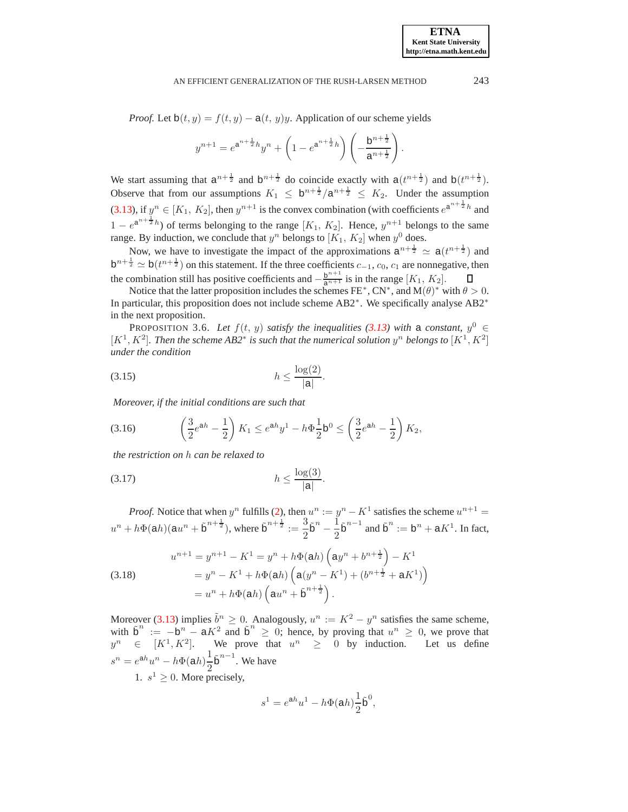*Proof.* Let  $b(t, y) = f(t, y) - a(t, y)y$ . Application of our scheme yields

$$
y^{n+1} = e^{a^{n+\frac{1}{2}}h}y^n + \left(1 - e^{a^{n+\frac{1}{2}}h}\right)\left(-\frac{b^{n+\frac{1}{2}}}{a^{n+\frac{1}{2}}}\right).
$$

We start assuming that  $a^{n+\frac{1}{2}}$  and  $b^{n+\frac{1}{2}}$  do coincide exactly with  $a(t^{n+\frac{1}{2}})$  and  $b(t^{n+\frac{1}{2}})$ . Observe that from our assumptions  $K_1 \leq b^{n+\frac{1}{2}}/a^{n+\frac{1}{2}} \leq K_2$ . Under the assumption [\(3.13\)](#page-8-2), if  $y^n \in [K_1, K_2]$ , then  $y^{n+1}$  is the convex combination (with coefficients  $e^{a^{n+\frac{1}{2}}h}$  and  $1 - e^{a^{n + \frac{1}{2}h}}$  of terms belonging to the range  $[K_1, K_2]$ . Hence,  $y^{n+1}$  belongs to the same range. By induction, we conclude that  $y^n$  belongs to  $[K_1, K_2]$  when  $y^0$  does.

Now, we have to investigate the impact of the approximations  $a^{n+\frac{1}{2}} \simeq a(t^{n+\frac{1}{2}})$  and  $b^{n+\frac{1}{2}} \simeq b(t^{n+\frac{1}{2}})$  on this statement. If the three coefficients  $c_{-1}$ ,  $c_0$ ,  $c_1$  are nonnegative, then the combination still has positive coefficients and  $-\frac{b^{n+1}}{a^{n+1}}$  is in the range  $[K_1, K_2]$ .

Notice that the latter proposition includes the schemes FE<sup>\*</sup>, CN<sup>\*</sup>, and M( $\theta$ )<sup>\*</sup> with  $\theta > 0$ . In particular, this proposition does not include scheme AB2<sup>∗</sup> . We specifically analyse AB2<sup>∗</sup> in the next proposition.

PROPOSITION 3.6. Let  $f(t, y)$  *satisfy the inequalities [\(3.13\)](#page-8-2)* with a *constant*,  $y^0 \in$ [ $K^1, K^2$ ]. Then the scheme AB2<sup>\*</sup> is such that the numerical solution  $y^n$  belongs to [ $K^1, K^2$ ] *under the condition*

<span id="page-9-1"></span>
$$
(3.15) \t\t\t\t h \le \frac{\log(2)}{|\mathbf{a}|}.
$$

*Moreover, if the initial conditions are such that*

<span id="page-9-0"></span>
$$
(3.16) \qquad \left(\frac{3}{2}e^{ah} - \frac{1}{2}\right)K_1 \le e^{ah}y^1 - h\Phi\frac{1}{2}b^0 \le \left(\frac{3}{2}e^{ah} - \frac{1}{2}\right)K_2,
$$

*the restriction on* h *can be relaxed to*

<span id="page-9-2"></span>
$$
(3.17) \t\t\t\t\t h \le \frac{\log(3)}{|\mathsf{a}|}
$$

*Proof.* Notice that when  $y^n$  fulfills [\(2\)](#page-1-1), then  $u^n := y^n - K^1$  satisfies the scheme  $u^{n+1} =$  $u^{n} + h\Phi(\alpha h)(\alpha u^{n} + \tilde{\rho}^{n+\frac{1}{2}})$ , where  $\tilde{\rho}^{n+\frac{1}{2}} := \frac{3}{2}$  $\frac{3}{2}$  $\tilde{b}^n - \frac{1}{2}$  $\frac{1}{2} \tilde{\mathbf{b}}^{n-1}$  and  $\tilde{\mathbf{b}}^n := \mathbf{b}^n + \mathbf{a} K^1$ . In fact,

.

(3.18) 
$$
u^{n+1} = y^{n+1} - K^1 = y^n + h\Phi(\text{a}h) \left(\text{a}y^n + b^{n+\frac{1}{2}}\right) - K^1
$$

$$
= y^n - K^1 + h\Phi(\text{a}h) \left(\text{a}(y^n - K^1) + (b^{n+\frac{1}{2}} + \text{a}K^1)\right)
$$

$$
= u^n + h\Phi(\text{a}h) \left(\text{a}u^n + \tilde{\text{b}}^{n+\frac{1}{2}}\right).
$$

Moreover [\(3.13\)](#page-8-2) implies  $\tilde{b}^n \ge 0$ . Analogously,  $u^n := K^2 - y^n$  satisfies the same scheme, with  $\tilde{b}^n := -b^n - aK^2$  and  $\tilde{b}^n \ge 0$ ; hence, by proving that  $u^n \ge 0$ , we prove that  $y^n \in [K^1, K^2]$ . We prove that  $u^n \geq 0$  by induction. Let us define  $s^n = e^{ah}u^n - h\Phi(ah)\frac{1}{2}$  $\frac{1}{2}$  $\tilde{b}^{n-1}$ . We have 1.  $s^1 \geq 0$ . More precisely,

$$
s^1 = e^{ah}u^1 - h\Phi(ah)\frac{1}{2}\tilde{\mathbf{b}}^0,
$$

**ETNA Kent State University http://etna.math.kent.edu**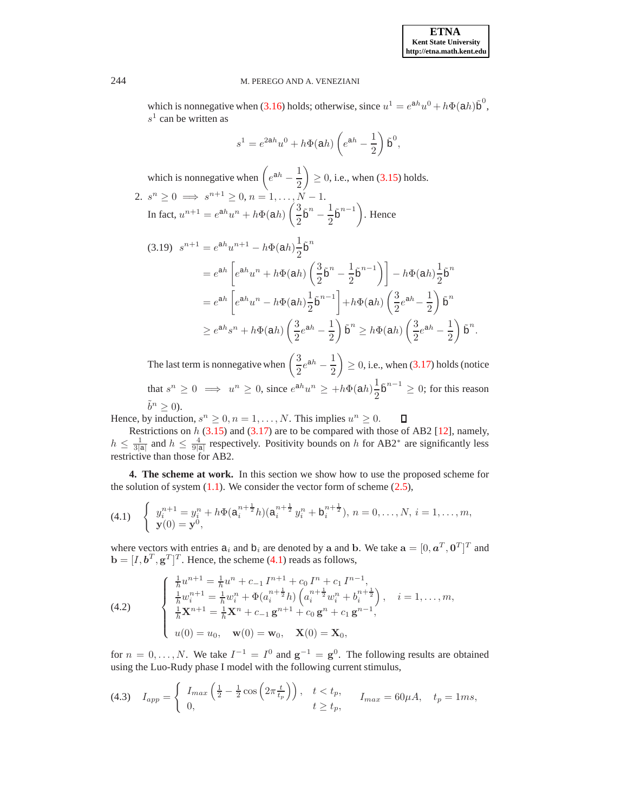which is nonnegative when [\(3.16\)](#page-9-0) holds; otherwise, since  $u^1 = e^{ah}u^0 + h\Phi(ah)\tilde{b}^0$ ,  $s<sup>1</sup>$  can be written as

$$
s1 = e2ahu0 + h\Phi(ah) \left(eah - \frac{1}{2}\right)\tilde{\mathbf{b}}0,
$$

which is nonnegative when  $\left(e^{ah}-\frac{1}{2}\right)$ 2  $\Big) \geq 0$ , i.e., when [\(3.15\)](#page-9-1) holds. 2.  $s^n \ge 0 \implies s^{n+1} \ge 0, n = 1, ..., N - 1.$ In fact,  $u^{n+1} = e^{ah}u^n + h\Phi(ah) \left(\frac{3}{2}\right)$  $\frac{3}{2} \tilde{\mathbf{b}}^n - \frac{1}{2}$  $\left(\frac{1}{2}\tilde{\mathbf{b}}^{n-1}\right)$ . Hence

$$
(3.19) \quad s^{n+1} = e^{ah}u^{n+1} - h\Phi(ah)\frac{1}{2}\tilde{b}^n
$$
  
\n
$$
= e^{ah} \left[e^{ah}u^n + h\Phi(ah)\left(\frac{3}{2}\tilde{b}^n - \frac{1}{2}\tilde{b}^{n-1}\right)\right] - h\Phi(ah)\frac{1}{2}\tilde{b}^n
$$
  
\n
$$
= e^{ah} \left[e^{ah}u^n - h\Phi(ah)\frac{1}{2}\tilde{b}^{n-1}\right] + h\Phi(ah)\left(\frac{3}{2}e^{ah} - \frac{1}{2}\right)\tilde{b}^n
$$
  
\n
$$
\geq e^{ah}s^n + h\Phi(ah)\left(\frac{3}{2}e^{ah} - \frac{1}{2}\right)\tilde{b}^n \geq h\Phi(ah)\left(\frac{3}{2}e^{ah} - \frac{1}{2}\right)\tilde{b}^n.
$$

The last term is nonnegative when  $\left(\frac{3}{2}\right)$  $\frac{3}{2}e^{ah} - \frac{1}{2}$ 2  $\Big) \geq 0$ , i.e., when [\(3.17\)](#page-9-2) holds (notice that  $s^n \geq 0 \implies u^n \geq 0$ , since  $e^{ah}u^n \geq +h\Phi(ah)\frac{1}{2}$  $\frac{1}{2}$  $\tilde{b}^{n-1} \geq 0$ ; for this reason  $\tilde{b}^n \geq 0$ ).

Hence, by induction,  $s^n \geq 0, n = 1, \ldots, N$ . This implies  $u^n \geq 0$ .  $\Box$ 

Restrictions on  $h$  [\(3.15\)](#page-9-1) and [\(3.17\)](#page-9-2) are to be compared with those of AB2 [\[12\]](#page-22-12), namely,  $h \leq \frac{1}{3|a|}$  and  $h \leq \frac{4}{9|a|}$  respectively. Positivity bounds on h for AB2<sup>∗</sup> are significantly less restrictive than those for AB2.

<span id="page-10-0"></span>**4. The scheme at work.** In this section we show how to use the proposed scheme for the solution of system  $(1.1)$ . We consider the vector form of scheme  $(2.5)$ ,

<span id="page-10-1"></span>
$$
(4.1) \quad \begin{cases} \quad y_i^{n+1} = y_i^n + h\Phi(\mathbf{a}_i^{n+\frac{1}{2}}h)(\mathbf{a}_i^{n+\frac{1}{2}}y_i^n + \mathbf{b}_i^{n+\frac{1}{2}}), \ n = 0, \dots, N, \ i = 1, \dots, m, \\ \mathbf{y}(0) = \mathbf{y}^0, \end{cases}
$$

where vectors with entries  $a_i$  and  $b_i$  are denoted by a and b. We take  $\mathbf{a} = [0, \boldsymbol{a}^T, \boldsymbol{0}^T]^T$  and  $\mathbf{b} = [I, \boldsymbol{b}^T, \mathbf{g}^T]^T$ . Hence, the scheme [\(4.1\)](#page-10-1) reads as follows,

(4.2) 
$$
\begin{cases} \frac{1}{h}u^{n+1} = \frac{1}{h}u^n + c_{-1}I^{n+1} + c_0I^n + c_1I^{n-1},\\ \frac{1}{h}w_i^{n+1} = \frac{1}{h}w_i^n + \Phi(a_i^{n+\frac{1}{2}}h)\left(a_i^{n+\frac{1}{2}}w_i^n + b_i^{n+\frac{1}{2}}\right), & i = 1, ..., m,\\ \frac{1}{h}\mathbf{X}^{n+1} = \frac{1}{h}\mathbf{X}^n + c_{-1}\mathbf{g}^{n+1} + c_0\mathbf{g}^n + c_1\mathbf{g}^{n-1},\\ u(0) = u_0, \quad \mathbf{w}(0) = \mathbf{w}_0, \quad \mathbf{X}(0) = \mathbf{X}_0, \end{cases}
$$

for  $n = 0, \ldots, N$ . We take  $I^{-1} = I^0$  and  $g^{-1} = g^0$ . The following results are obtained using the Luo-Rudy phase I model with the following current stimulus,

$$
\text{(4.3)} \quad I_{app} = \begin{cases} I_{max} \left( \frac{1}{2} - \frac{1}{2} \cos \left( 2\pi \frac{t}{t_p} \right) \right), & t < t_p, \\ 0, & t \ge t_p, \end{cases} \quad I_{max} = 60 \mu A, \quad t_p = 1ms,
$$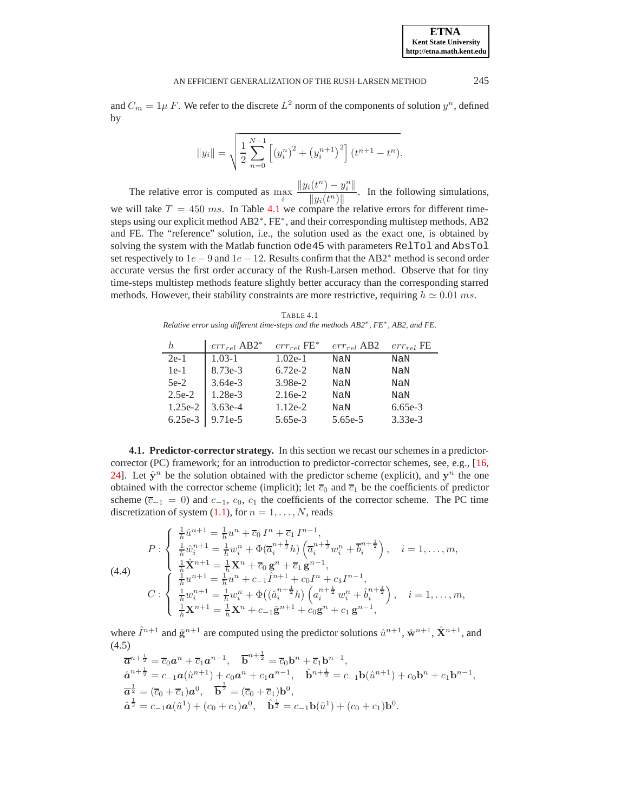and  $C_m = 1\mu F$ . We refer to the discrete  $L^2$  norm of the components of solution  $y^n$ , defined by

$$
||y_i|| = \sqrt{\frac{1}{2} \sum_{n=0}^{N-1} \left[ (y_i^n)^2 + (y_i^{n+1})^2 \right] (t^{n+1} - t^n)}.
$$

The relative error is computed as  $\max_i$  $||y_i(t^n) - y_i^n||$  $\frac{\sqrt{v}}{\|y_i(t^n)\|}$ . In the following simulations, we will take  $T = 450$  ms. In Table [4.1](#page-11-0) we compare the relative errors for different timesteps using our explicit method AB2<sup>\*</sup>, FE<sup>\*</sup>, and their corresponding multistep methods, AB2 and FE. The "reference" solution, i.e., the solution used as the exact one, is obtained by solving the system with the Matlab function ode45 with parameters RelTol and AbsTol set respectively to  $1e - 9$  and  $1e - 12$ . Results confirm that the AB2<sup>\*</sup> method is second order accurate versus the first order accuracy of the Rush-Larsen method. Observe that for tiny time-steps multistep methods feature slightly better accuracy than the corresponding starred methods. However, their stability constraints are more restrictive, requiring  $h \approx 0.01$  ms.

TABLE 4.1 *Relative error using different time-steps and the methods AB2*<sup>∗</sup> *, FE*<sup>∗</sup> *, AB2, and FE.*

<span id="page-11-0"></span>

| h.                  | $err_{rel}$ AB2 <sup>*</sup> | $err_{rel}$ FE <sup>*</sup> | $err_{rel}$ AB2 | $err_{rel}$ FE |
|---------------------|------------------------------|-----------------------------|-----------------|----------------|
| $2e-1$              | $1.03 - 1$                   | $1.02e-1$                   | NaN             | NaN            |
| $1e-1$              | $8.73e-3$                    | $6.72e-2$                   | NaN             | NaN            |
| $5e-2$              | $3.64e-3$                    | $3.98e-2$                   | NaN             | NaN            |
| $2.5e-2$            | $1.28e-3$                    | $2.16e-2$                   | NaN             | NaN            |
| $1.25e-2$           | $3.63e-4$                    | $1.12e-2$                   | NaN             | $6.65e-3$      |
| $6.25e-3$   9.71e-5 |                              | 5.65e-3                     | 5.65e-5         | $3.33e-3$      |

**4.1. Predictor-corrector strategy.** In this section we recast our schemes in a predictorcorrector (PC) framework; for an introduction to predictor-corrector schemes, see, e.g., [\[16,](#page-22-13) [24\]](#page-22-14). Let  $\hat{y}^n$  be the solution obtained with the predictor scheme (explicit), and  $y^n$  the one obtained with the corrector scheme (implicit); let  $\overline{c}_0$  and  $\overline{c}_1$  be the coefficients of predictor scheme ( $\overline{c}_{-1} = 0$ ) and  $c_{-1}$ ,  $c_0$ ,  $c_1$  the coefficients of the corrector scheme. The PC time discretization of system  $(1.1)$ , for  $n = 1, \ldots, N$ , reads

<span id="page-11-2"></span>
$$
(4.4) \qquad P: \begin{cases} \frac{1}{h}\hat{u}^{n+1} = \frac{1}{h}u^n + \overline{c}_0 I^n + \overline{c}_1 I^{n-1}, \\ \frac{1}{h}\hat{w}_i^{n+1} = \frac{1}{h}w_i^n + \Phi(\overline{a}_i^{n+\frac{1}{2}}h) \left(\overline{a}_i^{n+\frac{1}{2}}w_i^n + \overline{b}_i^{n+\frac{1}{2}}\right), & i = 1, \dots, m, \\ \frac{1}{h}\hat{\mathbf{X}}^{n+1} = \frac{1}{h}\mathbf{X}^n + \overline{c}_0 \mathbf{g}^n + \overline{c}_1 \mathbf{g}^{n-1}, \\ C: \begin{cases} \frac{1}{h}u^{n+1} = \frac{1}{h}u^n + c_{-1}\hat{I}^{n+1} + c_0 I^n + c_1 I^{n-1}, \\ \frac{1}{h}w_i^{n+1} = \frac{1}{h}w_i^n + \Phi((\hat{a}_i^{n+\frac{1}{2}}h) \left(a_i^{n+\frac{1}{2}}w_i^n + \hat{b}_i^{n+\frac{1}{2}}\right), & i = 1, \dots, m, \\ \frac{1}{h}\mathbf{X}^{n+1} = \frac{1}{h}\mathbf{X}^n + c_{-1}\hat{\mathbf{g}}^{n+1} + c_0\mathbf{g}^n + c_1\mathbf{g}^{n-1}, \end{cases} \end{cases}
$$

<span id="page-11-1"></span>where  $\hat{I}^{n+1}$  and  $\hat{\mathbf{g}}^{n+1}$  are computed using the predictor solutions  $\hat{u}^{n+1}$ ,  $\hat{\mathbf{w}}^{n+1}$ ,  $\hat{\mathbf{X}}^{n+1}$ , and (4.5)

$$
\overline{\mathbf{a}}^{n+\frac{1}{2}} = \overline{c}_0 \mathbf{a}^n + \overline{c}_1 \mathbf{a}^{n-1}, \quad \overline{\mathbf{b}}^{n+\frac{1}{2}} = \overline{c}_0 \mathbf{b}^n + \overline{c}_1 \mathbf{b}^{n-1}, \n\hat{\mathbf{a}}^{n+\frac{1}{2}} = c_{-1} \mathbf{a} (\hat{u}^{n+1}) + c_0 \mathbf{a}^n + c_1 \mathbf{a}^{n-1}, \quad \hat{\mathbf{b}}^{n+\frac{1}{2}} = c_{-1} \mathbf{b} (\hat{u}^{n+1}) + c_0 \mathbf{b}^n + c_1 \mathbf{b}^{n-1}, \n\overline{\mathbf{a}}^{\frac{1}{2}} = (\overline{c}_0 + \overline{c}_1) \mathbf{a}^0, \quad \overline{\mathbf{b}}^{\frac{1}{2}} = (\overline{c}_0 + \overline{c}_1) \mathbf{b}^0, \n\hat{\mathbf{a}}^{\frac{1}{2}} = c_{-1} \mathbf{a} (\hat{u}^1) + (c_0 + c_1) \mathbf{a}^0, \quad \hat{\mathbf{b}}^{\frac{1}{2}} = c_{-1} \mathbf{b} (\hat{u}^1) + (c_0 + c_1) \mathbf{b}^0.
$$

**ETNA Kent State University http://etna.math.kent.edu**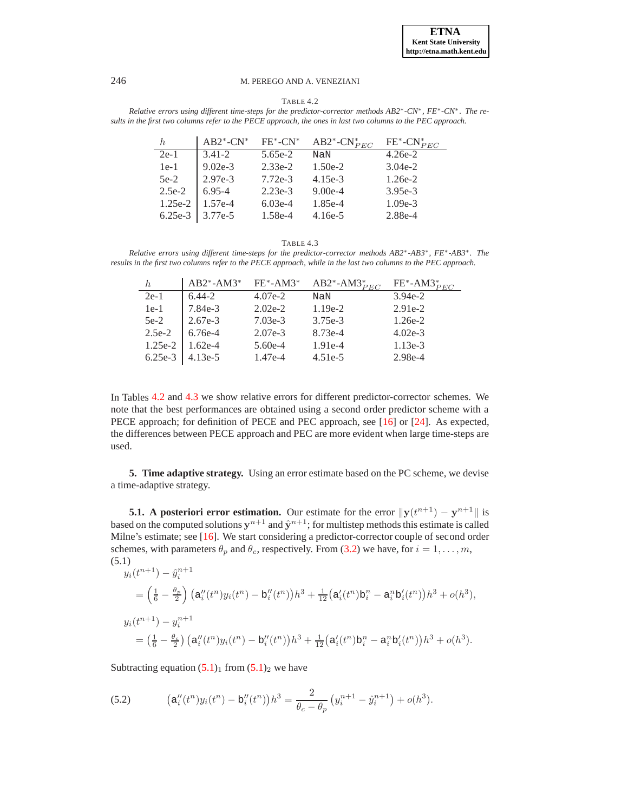#### TABLE 4.2

<span id="page-12-1"></span>*Relative errors using different time-steps for the predictor-corrector methods AB2*∗*-CN*∗*, FE*∗*-CN*∗*. The results in the first two columns refer to the PECE approach, the ones in last two columns to the PEC approach.*

|          | $AB2^*$ -CN <sup>*</sup> | $FE^*$ -CN $^*$ | AB2 <sup>*</sup> -CN <sup>*</sup> $_{PEC}$ | $FE^*$ -CN $_{PEC}^*$ |
|----------|--------------------------|-----------------|--------------------------------------------|-----------------------|
| $2e-1$   | $3.41 - 2$               | $5.65e-2$       | NaN                                        | $4.26e-2$             |
| $1e-1$   | $9.02e-3$                | $2.33e-2$       | $1.50e-2$                                  | $3.04e-2$             |
| $5e-2$   | $2.97e-3$                | $7.72e-3$       | $4.15e-3$                                  | $1.26e-2$             |
| $2.5e-2$ | $6.95 - 4$               | $2.23e-3$       | $9.00e-4$                                  | $3.95e-3$             |
| 1.25e-2  | 1.57e-4                  | $6.03e-4$       | 1.85e-4                                    | $1.09e-3$             |
| 6.25e-3  | 3.77e-5                  | 1.58e-4         | $4.16e-5$                                  | 2.88e-4               |

TABLE 4.3

<span id="page-12-2"></span>*Relative errors using different time-steps for the predictor-corrector methods AB2*<sup>∗</sup> *-AB3*<sup>∗</sup> *, FE*<sup>∗</sup> *-AB3*<sup>∗</sup> *. The results in the first two columns refer to the PECE approach, while in the last two columns to the PEC approach.*

|           | $AB2^*$ -AM3 <sup>*</sup> FE <sup>*</sup> -AM3 <sup>*</sup> |           | AB2*-AM3 $_{PEC}^*$ | $FE^*$ -AM3 $_{PEC}^*$ |
|-----------|-------------------------------------------------------------|-----------|---------------------|------------------------|
| $2e-1$    | $6.44 - 2$                                                  | $4.07e-2$ | NaN                 | $3.94e-2$              |
| $1e-1$    | 7.84e-3                                                     | $2.02e-2$ | $1.19e-2$           | $2.91e-2$              |
| $5e-2$    | $2.67e-3$                                                   | $7.03e-3$ | $3.75e-3$           | $1.26e-2$              |
| $2.5e-2$  | $6.76e-4$                                                   | $2.07e-3$ | $8.73e-4$           | $4.02e-3$              |
| 1.25e-2   | $1.62e-4$                                                   | $5.60e-4$ | 1.91e-4             | $1.13e-3$              |
| $6.25e-3$ | $4.13e-5$                                                   | 1.47e-4   | $4.51e-5$           | 2.98e-4                |

In Tables [4.2](#page-12-1) and [4.3](#page-12-2) we show relative errors for different predictor-corrector schemes. We note that the best performances are obtained using a second order predictor scheme with a PECE approach; for definition of PECE and PEC approach, see [\[16\]](#page-22-13) or [\[24\]](#page-22-14). As expected, the differences between PECE approach and PEC are more evident when large time-steps are used.

<span id="page-12-0"></span>**5. Time adaptive strategy.** Using an error estimate based on the PC scheme, we devise a time-adaptive strategy.

**5.1.** A posteriori error estimation. Our estimate for the error  $||y(t^{n+1}) - y^{n+1}||$  is based on the computed solutions  $y^{n+1}$  and  $\hat{y}^{n+1}$ ; for multistep methods this estimate is called Milne's estimate; see [\[16\]](#page-22-13). We start considering a predictor-corrector couple of second order schemes, with parameters  $\theta_p$  and  $\theta_c$ , respectively. From [\(3.2\)](#page-3-2) we have, for  $i = 1, \ldots, m$ , (5.1)

<span id="page-12-3"></span>
$$
y_i(t^{n+1}) - \hat{y}_i^{n+1}
$$
  
=  $\left(\frac{1}{6} - \frac{\theta_p}{2}\right) \left(a_i''(t^n) y_i(t^n) - b_i''(t^n)\right)h^3 + \frac{1}{12}\left(a_i'(t^n) b_i^n - a_i^n b_i'(t^n)\right)h^3 + o(h^3),$   

$$
y_i(t^{n+1}) - y_i^{n+1}
$$
  
=  $\left(\frac{1}{6} - \frac{\theta_c}{2}\right) \left(a_i''(t^n) y_i(t^n) - b_i''(t^n)\right)h^3 + \frac{1}{12}\left(a_i'(t^n) b_i^n - a_i^n b_i'(t^n)\right)h^3 + o(h^3).$ 

Subtracting equation  $(5.1)_1$  $(5.1)_1$  from  $(5.1)_2$  we have

(5.2) 
$$
\left(\mathsf{a}_{i}''(t^{n})y_{i}(t^{n}) - \mathsf{b}_{i}''(t^{n})\right)h^{3} = \frac{2}{\theta_{c} - \theta_{p}}\left(y_{i}^{n+1} - \hat{y}_{i}^{n+1}\right) + o(h^{3}).
$$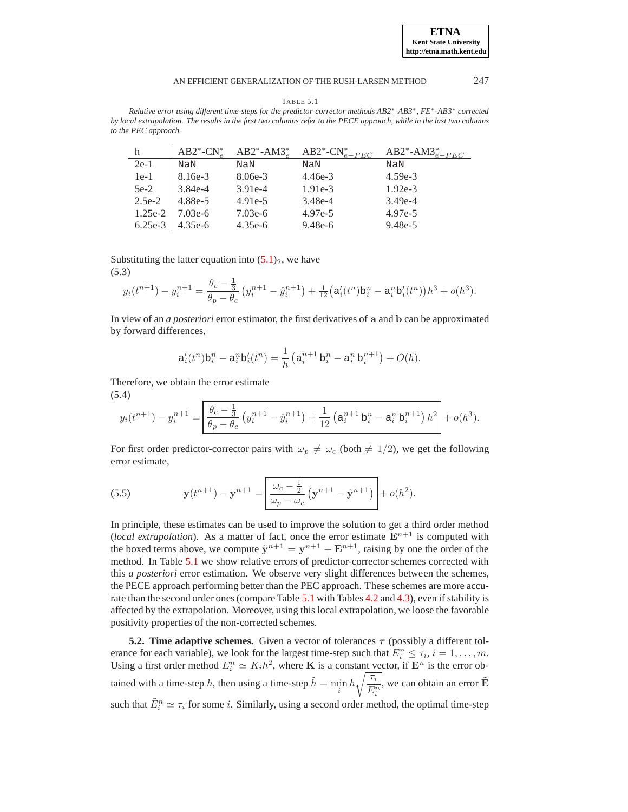**ETNA Kent State University http://etna.math.kent.edu**

<span id="page-13-0"></span>TABLE 5.1 *Relative error using different time-steps for the predictor-corrector methods AB2*<sup>∗</sup> *-AB3*<sup>∗</sup> *, FE*<sup>∗</sup> *-AB3*<sup>∗</sup> *corrected by local extrapolation. The results in the first two columns refer to the PECE approach, while in the last two columns to the PEC approach.*

|           |                     |           | $AB2^*$ -CN <sup>*</sup> $AB2^*$ -AM3 <sup>*</sup> $AB2^*$ -CN <sup>*</sup> <sub>e-PEC</sub> | AB2*-AM3 $_{e-PEC}$ |
|-----------|---------------------|-----------|----------------------------------------------------------------------------------------------|---------------------|
| $2e-1$    | NaN                 | NaN       | NaN                                                                                          | NaN                 |
| $1e-1$    | 8.16e-3             | 8.06e-3   | $4.46e-3$                                                                                    | $4.59e-3$           |
| $5e-2$    | 3.84e-4             | $3.91e-4$ | $1.91e-3$                                                                                    | $1.92e-3$           |
| $2.5e-2$  | $4.88e-5$           | $4.91e-5$ | 3.48e-4                                                                                      | $3.49e-4$           |
| $1.25e-2$ | $7.03e-6$           | $7.03e-6$ | $4.97e-5$                                                                                    | $4.97e-5$           |
|           | $6.25e-3$   4.35e-6 | $4.35e-6$ | $9.48e-6$                                                                                    | $9.48e-5$           |

Substituting the latter equation into  $(5.1)_2$ , we have

(5.3)

$$
y_i(t^{n+1}) - y_i^{n+1} = \frac{\theta_c - \frac{1}{3}}{\theta_p - \theta_c} \left( y_i^{n+1} - \hat{y}_i^{n+1} \right) + \frac{1}{12} \left( a_i'(t^n) b_i^n - a_i^n b_i'(t^n) \right) h^3 + o(h^3).
$$

In view of an *a posteriori* error estimator, the first derivatives of a and b can be approximated by forward differences,

$$
a'_{i}(t^{n})b_{i}^{n} - a_{i}^{n}b'_{i}(t^{n}) = \frac{1}{h} \left( a_{i}^{n+1} b_{i}^{n} - a_{i}^{n} b_{i}^{n+1} \right) + O(h).
$$

Therefore, we obtain the error estimate (5.4)

$$
y_i(t^{n+1}) - y_i^{n+1} = \left[ \frac{\theta_c - \frac{1}{3}}{\theta_p - \theta_c} \left( y_i^{n+1} - \hat{y}_i^{n+1} \right) + \frac{1}{12} \left( a_i^{n+1} b_i^n - a_i^n b_i^{n+1} \right) h^2 \right] + o(h^3).
$$

<span id="page-13-1"></span>For first order predictor-corrector pairs with  $\omega_p \neq \omega_c$  (both  $\neq 1/2$ ), we get the following error estimate,

<span id="page-13-2"></span>(5.5) 
$$
\mathbf{y}(t^{n+1}) - \mathbf{y}^{n+1} = \left| \frac{\omega_c - \frac{1}{2}}{\omega_p - \omega_c} \left( \mathbf{y}^{n+1} - \hat{\mathbf{y}}^{n+1} \right) \right| + o(h^2).
$$

In principle, these estimates can be used to improve the solution to get a third order method (*local extrapolation*). As a matter of fact, once the error estimate  $E^{n+1}$  is computed with the boxed terms above, we compute  $\tilde{y}^{n+1} = y^{n+1} + E^{n+1}$ , raising by one the order of the method. In Table [5.1](#page-13-0) we show relative errors of predictor-corrector schemes corrected with this *a posteriori* error estimation. We observe very slight differences between the schemes, the PECE approach performing better than the PEC approach. These schemes are more accurate than the second order ones (compare Table [5.1](#page-13-0) with Tables [4.2](#page-12-1) and [4.3\)](#page-12-2), even if stability is affected by the extrapolation. Moreover, using this local extrapolation, we loose the favorable positivity properties of the non-corrected schemes.

**5.2. Time adaptive schemes.** Given a vector of tolerances  $\tau$  (possibly a different tolerance for each variable), we look for the largest time-step such that  $E_i^n \leq \tau_i$ ,  $i = 1, \ldots, m$ . Using a first order method  $E_i^n \simeq K_i h^2$ , where **K** is a constant vector, if  $\mathbf{E}^n$  is the error obtained with a time-step h, then using a time-step  $\tilde{h} = \min_i h \sqrt{\frac{\tau_i}{E_n^2}}$  $E_i^n$ , we can obtain an error  $\tilde{\mathbf{E}}$ such that  $\tilde{E}_i^n \simeq \tau_i$  for some *i*. Similarly, using a second order method, the optimal time-step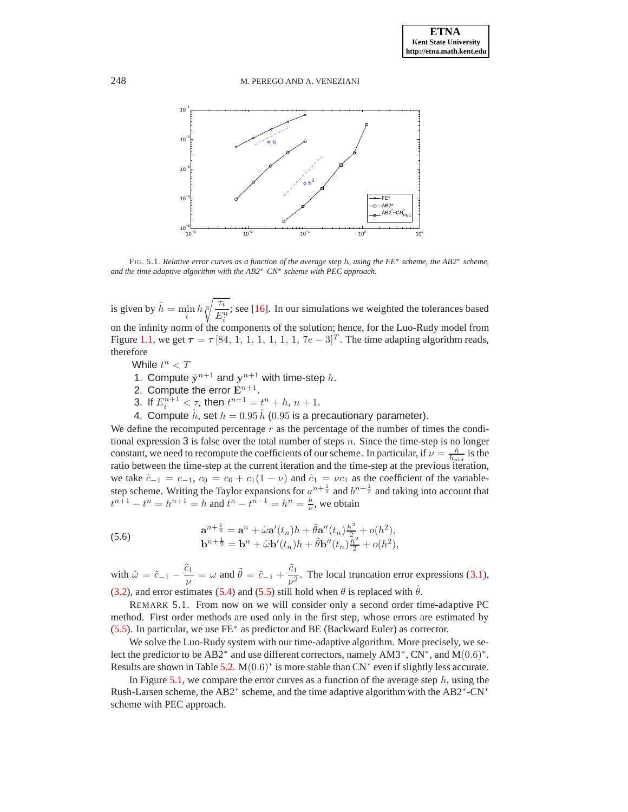

<span id="page-14-0"></span>FIG. 5.1. *Relative error curves as a function of the average step* h*, using the FE*<sup>∗</sup> *scheme, the AB2*<sup>∗</sup> *scheme, and the time adaptive algorithm with the AB2*<sup>∗</sup> *-CN*<sup>∗</sup> *scheme with PEC approach.*

is given by  $\tilde{h} = \min_i h \sqrt[3]{\frac{\tau_i}{E_i^2}}$  $E_i^n$ ; see [\[16\]](#page-22-13). In our simulations we weighted the tolerances based on the infinity norm of the components of the solution; hence, for the Luo-Rudy model from Figure [1.1,](#page-2-0) we get  $\tau = \tau$  [84, 1, 1, 1, 1, 1, 1, 7 $e - 3$ ]<sup>T</sup>. The time adapting algorithm reads, therefore

While  $t^n < T$ 

- 1. Compute  $\hat{\mathbf{y}}^{n+1}$  and  $\mathbf{y}^{n+1}$  with time-step h.
- 2. Compute the error  $\mathbf{E}^{n+1}$ .
- 3. If  $E_i^{n+1} < \tau_i$  then  $t^{n+1} = t^n + h, n + 1$ .
- 4. Compute  $\tilde{h}$ , set  $h = 0.95 \tilde{h}$  (0.95 is a precautionary parameter).

We define the recomputed percentage  $r$  as the percentage of the number of times the conditional expression 3 is false over the total number of steps  $n$ . Since the time-step is no longer constant, we need to recompute the coefficients of our scheme. In particular, if  $\nu = \frac{h}{h_{old}}$  is the ratio between the time-step at the current iteration and the time-step at the previous iteration, we take  $\tilde{c}_{-1} = c_{-1}$ ,  $c_0 = c_0 + c_1(1 - \nu)$  and  $\tilde{c}_1 = \nu c_1$  as the coefficient of the variablestep scheme. Writing the Taylor expansions for  $a^{n+\frac{1}{2}}$  and  $b^{n+\frac{1}{2}}$  and taking into account that  $t^{n+1} - t^n = h^{n+1} = h$  and  $t^n - t^{n-1} = h^n = \frac{h}{\nu}$ , we obtain

(5.6) 
$$
\mathbf{a}^{n+\frac{1}{2}} = \mathbf{a}^n + \tilde{\omega} \mathbf{a}'(t_n) h + \tilde{\theta} \mathbf{a}''(t_n) \frac{h^2}{2} + o(h^2), \mathbf{b}^{n+\frac{1}{2}} = \mathbf{b}^n + \tilde{\omega} \mathbf{b}'(t_n) h + \tilde{\theta} \mathbf{b}''(t_n) \frac{h^2}{2} + o(h^2),
$$

with  $\tilde{\omega} = \tilde{c}_{-1} - \frac{\tilde{c}_1}{\omega}$  $\frac{\tilde{c}_1}{\nu} = \omega$  and  $\tilde{\theta} = \tilde{c}_{-1} + \frac{\tilde{c}_1}{\nu^2}$  $\frac{v_1}{v^2}$ . The local truncation error expressions [\(3.1\)](#page-3-4), [\(3.2\)](#page-3-2), and error estimates [\(5.4\)](#page-13-1) and [\(5.5\)](#page-13-2) still hold when  $\theta$  is replaced with  $\theta$ .

REMARK 5.1. From now on we will consider only a second order time-adaptive PC method. First order methods are used only in the first step, whose errors are estimated by [\(5.5\)](#page-13-2). In particular, we use FE<sup>∗</sup> as predictor and BE (Backward Euler) as corrector.

We solve the Luo-Rudy system with our time-adaptive algorithm. More precisely, we select the predictor to be AB2<sup>\*</sup> and use different correctors, namely AM3<sup>\*</sup>, CN<sup>\*</sup>, and M(0.6)<sup>\*</sup>. Results are shown in Table [5.2.](#page-15-1)  $M(0.6)^*$  is more stable than CN<sup>\*</sup> even if slightly less accurate.

In Figure [5.1,](#page-14-0) we compare the error curves as a function of the average step  $h$ , using the Rush-Larsen scheme, the AB2<sup>∗</sup> scheme, and the time adaptive algorithm with the AB2<sup>∗</sup>-CN<sup>∗</sup> scheme with PEC approach.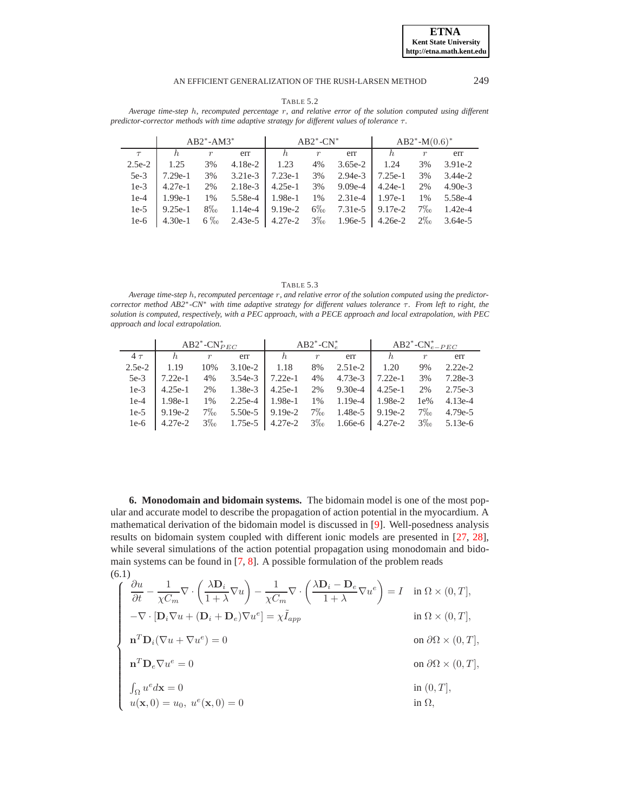| TABLE 5 |  |  |
|---------|--|--|
|---------|--|--|

<span id="page-15-1"></span>*Average time-step* h*, recomputed percentage* r*, and relative error of the solution computed using different predictor-corrector methods with time adaptive strategy for different values of tolerance* τ*.*

|          |           | $AB2^* - AM3^*$  |           |           | $AB2^*$ -CN <sup>*</sup> |           | $AB2^* - M(0.6)^*$ |                  |           |
|----------|-----------|------------------|-----------|-----------|--------------------------|-----------|--------------------|------------------|-----------|
| $\tau$   | h         | $\boldsymbol{r}$ | err       | h         | $\boldsymbol{r}$         | err       |                    | $\boldsymbol{r}$ | err       |
| $2.5e-2$ | 1.25      | 3%               | $4.18e-2$ | 1.23      | 4%                       | $3.65e-2$ | 1.24               | 3%               | $3.91e-2$ |
| $5e-3$   | $7.29e-1$ | 3%               | $3.21e-3$ | $7.23e-1$ | 3%                       | $2.94e-3$ | $7.25e-1$          | 3%               | $3.44e-2$ |
| $1e-3$   | $4.27e-1$ | 2%               | $2.18e-3$ | $4.25e-1$ | 3%                       | $9.09e-4$ | $4.24e-1$          | 2%               | $4.90e-3$ |
| $1e-4$   | $1.99e-1$ | 1%               | 5.58e-4   | 1.98e-1   | 1%                       | $2.31e-4$ | $1.97e-1$          | 1%               | 5.58e-4   |
| $1e-5$   | $9.25e-1$ | $8\%$            | 1.14e-4   | $9.19e-2$ | $6\%$                    | $7.31e-5$ | $9.17e-2$          | $7\%$            | $1.42e-4$ |
| $1e-6$   | $4.30e-1$ | $6\%$            | $2.43e-5$ | $4.27e-2$ | $3\%$                    | 1.96e-5   | $4.26e-2$          | $2\%$            | $3.64e-5$ |

|--|--|--|--|--|

*Average time-step* h*, recomputed percentage* r*, and relative error of the solution computed using the predictorcorrector method AB2*∗*-CN*<sup>∗</sup> *with time adaptive strategy for different values tolerance* τ*. From left to right, the solution is computed, respectively, with a PEC approach, with a PECE approach and local extrapolation, with PEC approach and local extrapolation.*

|          |           | AB2 <sup>*</sup> -CN <sup>*</sup> $_{PEC}$ |           | $AB2^*$ -CN <sup>*</sup> |                  |           | AB2 <sup>*</sup> -CN <sup>*</sup> <sub>e-PEC</sub> |                  |           |
|----------|-----------|--------------------------------------------|-----------|--------------------------|------------------|-----------|----------------------------------------------------|------------------|-----------|
| $4\tau$  | h.        | $\boldsymbol{r}$                           | err       | h                        | $\boldsymbol{r}$ | err       | h,                                                 | $\boldsymbol{r}$ | err       |
| $2.5e-2$ | 1.19      | 10%                                        | $3.10e-2$ | 1.18                     | 8%               | $2.51e-2$ | 1.20                                               | 9%               | $2.22e-2$ |
| $5e-3$   | $7.22e-1$ | 4%                                         | $3.54e-3$ | $7.22e-1$                | 4%               | $4.73e-3$ | $7.22e-1$                                          | 3%               | $7.28e-3$ |
| $1e-3$   | $4.25e-1$ | 2%                                         | $1.38e-3$ | $4.25e-1$                | 2%               | $9.30e-4$ | $4.25e-1$                                          | 2%               | 2.75e-3   |
| $1e-4$   | 1.98e-1   | 1%                                         | $2.25e-4$ | 1.98e-1                  | 1%               | $1.19e-4$ | 1.98e-2                                            | $1e\%$           | $4.13e-4$ |
| $1e-5$   | $9.19e-2$ | $7\%$                                      | $5.50e-5$ | $9.19e-2$                | $7\%$            | 1.48e-5   | $9.19e-2$                                          | $7\%$            | $4.79e-5$ |
| $1e-6$   | $4.27e-2$ | $3\%$                                      |           | $1.75e-5$   4.27e-2      | $3\%$            | 1.66e-6   | 4.27e-2                                            | $3\%$            | $5.13e-6$ |

<span id="page-15-0"></span>**6. Monodomain and bidomain systems.** The bidomain model is one of the most popular and accurate model to describe the propagation of action potential in the myocardium. A mathematical derivation of the bidomain model is discussed in [\[9\]](#page-22-15). Well-posedness analysis results on bidomain system coupled with different ionic models are presented in [\[27,](#page-22-16) [28\]](#page-22-17), while several simulations of the action potential propagation using monodomain and bidomain systems can be found in [\[7,](#page-21-3) [8\]](#page-21-7). A possible formulation of the problem reads (6.1)

$$
\begin{cases}\n\frac{\partial u}{\partial t} - \frac{1}{\chi C_m} \nabla \cdot \left( \frac{\lambda \mathbf{D}_i}{1 + \lambda} \nabla u \right) - \frac{1}{\chi C_m} \nabla \cdot \left( \frac{\lambda \mathbf{D}_i - \mathbf{D}_e}{1 + \lambda} \nabla u^e \right) = I & \text{in } \Omega \times (0, T], \\
-\nabla \cdot [\mathbf{D}_i \nabla u + (\mathbf{D}_i + \mathbf{D}_e) \nabla u^e] = \chi \tilde{I}_{app} & \text{in } \Omega \times (0, T], \\
\mathbf{n}^T \mathbf{D}_i (\nabla u + \nabla u^e) = 0 & \text{on } \partial \Omega \times (0, T], \\
\mathbf{n}^T \mathbf{D}_e \nabla u^e = 0 & \text{on } \partial \Omega \times (0, T], \\
\int_{\Omega} u^e d\mathbf{x} = 0 & \text{in } (0, T], \\
u(\mathbf{x}, 0) = u_0, u^e(\mathbf{x}, 0) = 0 & \text{in } \Omega,\n\end{cases}
$$

**ETNA Kent State University http://etna.math.kent.edu**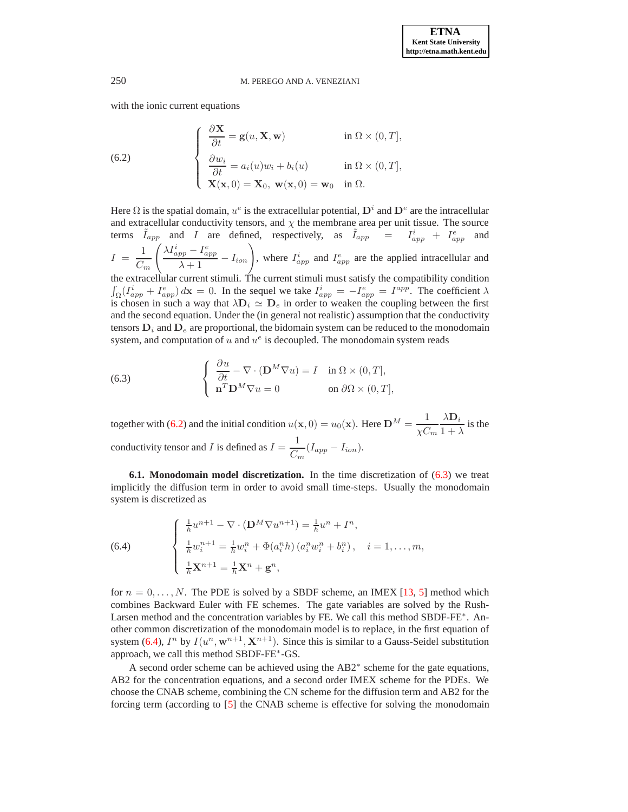with the ionic current equations

<span id="page-16-0"></span>(6.2) 
$$
\begin{cases}\n\frac{\partial \mathbf{X}}{\partial t} = \mathbf{g}(u, \mathbf{X}, \mathbf{w}) & \text{in } \Omega \times (0, T], \\
\frac{\partial w_i}{\partial t} = a_i(u)w_i + b_i(u) & \text{in } \Omega \times (0, T], \\
\mathbf{X}(\mathbf{x}, 0) = \mathbf{X}_0, \mathbf{w}(\mathbf{x}, 0) = \mathbf{w}_0 & \text{in } \Omega.\n\end{cases}
$$

Here  $\Omega$  is the spatial domain,  $u^e$  is the extracellular potential,  $D^i$  and  $D^e$  are the intracellular and extracellular conductivity tensors, and  $\chi$  the membrane area per unit tissue. The source terms  $\tilde{I}_{app}$  and I are defined, respectively, as  $\tilde{I}_{app}$  =  $I_{app}^i$  +  $I_{app}^e$  and

 $I = \frac{1}{\alpha}$  $C_m$  $\int \lambda I_{app}^i - I_{app}^e$  $\frac{p_p - I_{app}^e}{\lambda + 1} - I_{ion}$ , where  $I_{app}^i$  and  $I_{app}^e$  are the applied intracellular and

the extracellular current stimuli. The current stimuli must satisfy the compatibility condition  $\int_{\Omega} (I_{app}^i + I_{app}^e) dx = 0$ . In the sequel we take  $I_{app}^i = -I_{app}^e = I^{app}$ . The coefficient  $\lambda$ is chosen in such a way that  $\lambda \mathbf{D}_i \simeq \mathbf{D}_e$  in order to weaken the coupling between the first and the second equation. Under the (in general not realistic) assumption that the conductivity tensors  $D_i$  and  $D_e$  are proportional, the bidomain system can be reduced to the monodomain system, and computation of  $u$  and  $u^e$  is decoupled. The monodomain system reads

<span id="page-16-1"></span>(6.3) 
$$
\begin{cases} \frac{\partial u}{\partial t} - \nabla \cdot (\mathbf{D}^M \nabla u) = I & \text{in } \Omega \times (0, T], \\ \mathbf{n}^T \mathbf{D}^M \nabla u = 0 & \text{on } \partial \Omega \times (0, T], \end{cases}
$$

together with [\(6.2\)](#page-16-0) and the initial condition  $u(\mathbf{x},0) = u_0(\mathbf{x})$ . Here  $\mathbf{D}^M = \frac{1}{\sqrt{n}}$  $\chi C_m$  $\lambda \mathbf{D}_i$  $\frac{1}{1 + \lambda}$  is the conductivity tensor and I is defined as  $I = \frac{1}{C}$  $\frac{1}{C_m}(I_{app}-I_{ion}).$ 

**6.1. Monodomain model discretization.** In the time discretization of [\(6.3\)](#page-16-1) we treat implicitly the diffusion term in order to avoid small time-steps. Usually the monodomain system is discretized as

<span id="page-16-2"></span>(6.4) 
$$
\begin{cases} \frac{1}{h}u^{n+1} - \nabla \cdot (\mathbf{D}^{M} \nabla u^{n+1}) = \frac{1}{h}u^{n} + I^{n}, \\ \frac{1}{h}w_{i}^{n+1} = \frac{1}{h}w_{i}^{n} + \Phi(a_{i}^{n}h) (a_{i}^{n}w_{i}^{n} + b_{i}^{n}), \quad i = 1, ..., m, \\ \frac{1}{h}\mathbf{X}^{n+1} = \frac{1}{h}\mathbf{X}^{n} + \mathbf{g}^{n}, \end{cases}
$$

for  $n = 0, \ldots, N$ . The PDE is solved by a SBDF scheme, an IMEX [\[13,](#page-22-18) [5\]](#page-21-2) method which combines Backward Euler with FE schemes. The gate variables are solved by the Rush-Larsen method and the concentration variables by FE. We call this method SBDF-FE<sup>\*</sup>. Another common discretization of the monodomain model is to replace, in the first equation of system [\(6.4\)](#page-16-2),  $I^n$  by  $I(u^n, \mathbf{w}^{n+1}, \mathbf{X}^{n+1})$ . Since this is similar to a Gauss-Seidel substitution approach, we call this method SBDF-FE<sup>∗</sup> -GS.

A second order scheme can be achieved using the AB2<sup>∗</sup> scheme for the gate equations, AB2 for the concentration equations, and a second order IMEX scheme for the PDEs. We choose the CNAB scheme, combining the CN scheme for the diffusion term and AB2 for the forcing term (according to [\[5\]](#page-21-2) the CNAB scheme is effective for solving the monodomain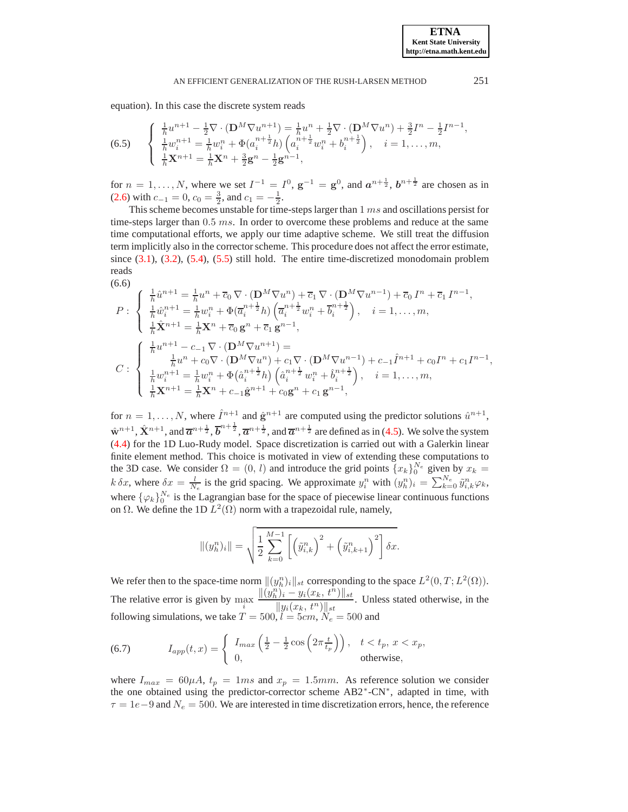equation). In this case the discrete system reads

(6.5) 
$$
\begin{cases} \frac{1}{h}u^{n+1} - \frac{1}{2}\nabla \cdot (\mathbf{D}^{M}\nabla u^{n+1}) = \frac{1}{h}u^{n} + \frac{1}{2}\nabla \cdot (\mathbf{D}^{M}\nabla u^{n}) + \frac{3}{2}I^{n} - \frac{1}{2}I^{n-1}, \\ \frac{1}{h}w_{i}^{n+1} = \frac{1}{h}w_{i}^{n} + \Phi(a_{i}^{n+\frac{1}{2}}h)\left(a_{i}^{n+\frac{1}{2}}w_{i}^{n} + b_{i}^{n+\frac{1}{2}}\right), \quad i = 1, ..., m, \\ \frac{1}{h}\mathbf{X}^{n+1} = \frac{1}{h}\mathbf{X}^{n} + \frac{3}{2}\mathbf{g}^{n} - \frac{1}{2}\mathbf{g}^{n-1}, \end{cases}
$$

for  $n = 1, ..., N$ , where we set  $I^{-1} = I^0$ ,  $g^{-1} = g^0$ , and  $a^{n + \frac{1}{2}}$ ,  $b^{n + \frac{1}{2}}$  are chosen as in [\(2.6\)](#page-3-1) with  $c_{-1} = 0$ ,  $c_0 = \frac{3}{2}$ , and  $c_1 = -\frac{1}{2}$ .

This scheme becomes unstable for time-steps larger than 1 ms and oscillations persist for time-steps larger than  $0.5$  ms. In order to overcome these problems and reduce at the same time computational efforts, we apply our time adaptive scheme. We still treat the diffusion term implicitly also in the corrector scheme. This procedure does not affect the error estimate, since  $(3.1)$ ,  $(3.2)$ ,  $(5.4)$ ,  $(5.5)$  still hold. The entire time-discretized monodomain problem reads

(6.6)

<span id="page-17-0"></span>
$$
P: \begin{cases} \frac{1}{h}\hat{u}^{n+1} = \frac{1}{h}u^n + \overline{c}_0 \nabla \cdot (\mathbf{D}^M \nabla u^n) + \overline{c}_1 \nabla \cdot (\mathbf{D}^M \nabla u^{n-1}) + \overline{c}_0 I^n + \overline{c}_1 I^{n-1}, \\ \frac{1}{h}\hat{w}_i^{n+1} = \frac{1}{h}w_i^n + \Phi(\overline{a}_i^{n+\frac{1}{2}}h) \left( \overline{a}_i^{n+\frac{1}{2}} w_i^n + \overline{b}_i^{n+\frac{1}{2}} \right), \quad i = 1, \dots, m, \\ \frac{1}{h}\hat{\mathbf{X}}^{n+1} = \frac{1}{h}\mathbf{X}^n + \overline{c}_0 \mathbf{g}^n + \overline{c}_1 \mathbf{g}^{n-1}, \\ C: \begin{cases} \frac{1}{h}u^{n+1} - c_{-1} \nabla \cdot (\mathbf{D}^M \nabla u^{n+1}) = \\ \frac{1}{h}u^n + c_0 \nabla \cdot (\mathbf{D}^M \nabla u^n) + c_1 \nabla \cdot (\mathbf{D}^M \nabla u^{n-1}) + c_{-1} \hat{I}^{n+1} + c_0 I^n + c_1 I^{n-1}, \\ \frac{1}{h}w_i^{n+1} = \frac{1}{h}w_i^n + \Phi(\hat{a}_i^{n+\frac{1}{2}}h) \left( \hat{a}_i^{n+\frac{1}{2}} w_i^n + \hat{b}_i^{n+\frac{1}{2}} \right), \quad i = 1, \dots, m, \\ \frac{1}{h}\mathbf{X}^{n+1} = \frac{1}{h}\mathbf{X}^n + c_{-1}\hat{\mathbf{g}}^{n+1} + c_0 \mathbf{g}^n + c_1 \mathbf{g}^{n-1}, \end{cases}
$$

for  $n = 1, ..., N$ , where  $\hat{I}^{n+1}$  and  $\hat{\mathbf{g}}^{n+1}$  are computed using the predictor solutions  $\hat{u}^{n+1}$ ,  $\hat{\mathbf{w}}^{n+1}$ ,  $\hat{\mathbf{X}}^{n+1}$ , and  $\overline{\mathbf{a}}^{n+\frac{1}{2}}$ ,  $\overline{\mathbf{a}}^{n+\frac{1}{2}}$ , and  $\overline{\mathbf{a}}^{n+\frac{1}{2}}$  are defined as in [\(4.5\)](#page-11-1). We solve the system [\(4.4\)](#page-11-2) for the 1D Luo-Rudy model. Space discretization is carried out with a Galerkin linear finite element method. This choice is motivated in view of extending these computations to the 3D case. We consider  $\Omega = (0, l)$  and introduce the grid points  $\{x_k\}_0^{N_e}$  given by  $x_k =$ k δx, where  $\delta x = \frac{l}{N_e}$  is the grid spacing. We approximate  $y_i^n$  with  $(y_h^n)_i = \sum_{k=0}^{N_e} \tilde{y}_{i,k}^n \varphi_k$ , where  $\{\varphi_k\}_0^{N_e}$  is the Lagrangian base for the space of piecewise linear continuous functions on  $\Omega$ . We define the 1D  $L^2(\Omega)$  norm with a trapezoidal rule, namely,

$$
\|(y_h^n)_i\| = \sqrt{\frac{1}{2} \sum_{k=0}^{M-1} \left[ \left( \tilde{y}_{i,k}^n \right)^2 + \left( \tilde{y}_{i,k+1}^n \right)^2 \right] \delta x}.
$$

We refer then to the space-time norm  $||(y_h^n)_i||_{st}$  corresponding to the space  $L^2(0,T;L^2(\Omega))$ . The relative error is given by  $\max_i$  $||(y_h^n)_i - y_i(x_k, t^n)||_{st}$  $\frac{||y_i(x_k, t^n)||_{st}}{||y_i(x_k, t^n)||_{st}}$ . Unless stated otherwise, in the following simulations, we take  $T = 500, l = 5cm, N_e = 500$  and

(6.7) 
$$
I_{app}(t,x) = \begin{cases} I_{max} \left( \frac{1}{2} - \frac{1}{2} \cos \left( 2\pi \frac{t}{t_p} \right) \right), & t < t_p, x < x_p, \\ 0, & \text{otherwise,} \end{cases}
$$

where  $I_{max} = 60\mu A$ ,  $t_p = 1ms$  and  $x_p = 1.5mm$ . As reference solution we consider the one obtained using the predictor-corrector scheme AB2\*-CN\*, adapted in time, with  $\tau = 1e-9$  and  $N_e = 500$ . We are interested in time discretization errors, hence, the reference

**ETNA Kent State University http://etna.math.kent.edu**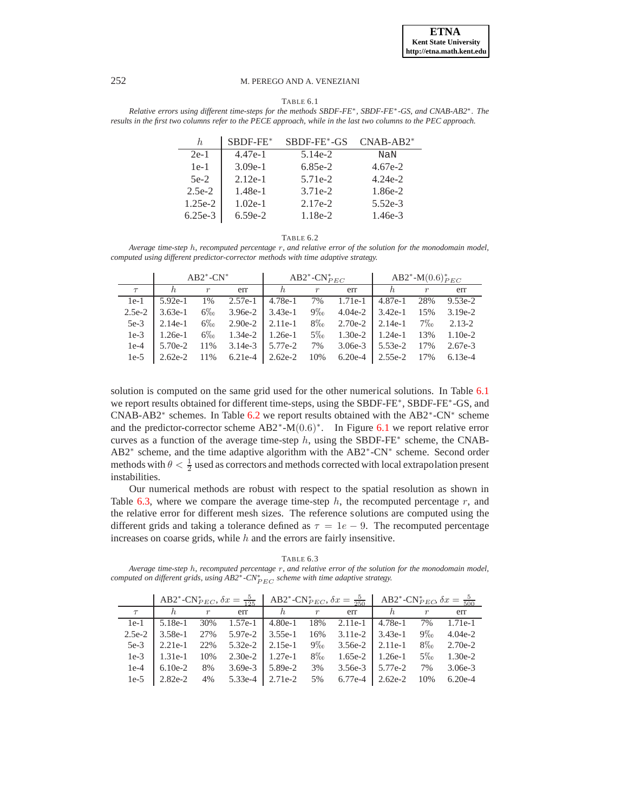TABLE 6.1

<span id="page-18-0"></span>*Relative errors using different time-steps for the methods SBDF-FE*∗*, SBDF-FE*∗*-GS, and CNAB-AB2*∗*. The results in the first two columns refer to the PECE approach, while in the last two columns to the PEC approach.*

| h.        | $SBDF-FE*$ | SBDF-FE*-GS | $CNAB-AB2*$ |
|-----------|------------|-------------|-------------|
| $2e-1$    | $4.47e-1$  | $5.14e-2$   | NaN         |
| $1e-1$    | $3.09e-1$  | $6.85e-2$   | $4.67e-2$   |
| $5e-2$    | $2.12e-1$  | 5.71e-2     | $4.24e-2$   |
| $2.5e-2$  | $1.48e-1$  | $3.71e-2$   | 1.86e-2     |
| $1.25e-2$ | $1.02e-1$  | $2.17e-2$   | $5.52e-3$   |
| $6.25e-3$ | $6.59e-2$  | 1.18e-2     | $1.46e-3$   |

| п.<br>н. |
|----------|
|----------|

<span id="page-18-1"></span>*Average time-step* h*, recomputed percentage* r*, and relative error of the solution for the monodomain model, computed using different predictor-corrector methods with time adaptive strategy.*

|          |           | $AB2^*$ -CN <sup>*</sup> |           |           | $AB2^*$ -CN $_{PEC}^*$ |           | AB2 <sup>*</sup> -M $(0.6)_{PEC}^*$ |                  |            |
|----------|-----------|--------------------------|-----------|-----------|------------------------|-----------|-------------------------------------|------------------|------------|
|          |           | $\boldsymbol{r}$         | err       | h,        | $\boldsymbol{r}$       | err       | h,                                  | $\boldsymbol{r}$ | err        |
| $1e-1$   | $5.92e-1$ | 1%                       | $2.57e-1$ | $4.78e-1$ | 7%                     | $1.71e-1$ | $4.87e-1$                           | 28%              | $9.53e-2$  |
| $2.5e-2$ | $3.63e-1$ | $6\%$                    | $3.96e-2$ | $3.43e-1$ | $9\%$                  | $4.04e-2$ | $3.42e-1$                           | 15%              | $3.19e-2$  |
| $5e-3$   | $2.14e-1$ | $6\%$                    | $2.90e-2$ | $2.11e-1$ | $8\%$                  | $2.70e-2$ | $2.14e-1$                           | $7\%$            | $2.13 - 2$ |
| $1e-3$   | $1.26e-1$ | $6\%$                    | $1.34e-2$ | $1.26e-1$ | $5\%$                  | $1.30e-2$ | $1.24e-1$                           | 13%              | $1.10e-2$  |
| $1e-4$   | $5.70e-2$ | 11%                      | $3.14e-3$ | 5.77e-2   | 7%                     | $3.06e-3$ | $5.53e-2$                           | 17%              | $2.67e-3$  |
| $1e-5$   | $2.62e-2$ | 11%                      | $6.21e-4$ | $2.62e-2$ | 10%                    | $6.20e-4$ | $2.55e-2$                           | 17%              | $6.13e-4$  |

solution is computed on the same grid used for the other numerical solutions. In Table [6.1](#page-18-0) we report results obtained for different time-steps, using the SBDF-FE<sup>\*</sup>, SBDF-FE<sup>\*</sup>-GS, and CNAB-AB2<sup>\*</sup> schemes. In Table [6.2](#page-18-1) we report results obtained with the AB2<sup>\*</sup>-CN<sup>\*</sup> scheme and the predictor-corrector scheme  $AB2^* - M(0.6)^*$ . In Figure [6.1](#page-19-0) we report relative error curves as a function of the average time-step  $h$ , using the SBDF-FE<sup>\*</sup> scheme, the CNAB-AB2<sup>∗</sup> scheme, and the time adaptive algorithm with the AB2<sup>∗</sup>-CN<sup>∗</sup> scheme. Second order methods with  $\theta < \frac{1}{2}$  used as correctors and methods corrected with local extrapolation present instabilities.

Our numerical methods are robust with respect to the spatial resolution as shown in Table [6.3,](#page-18-2) where we compare the average time-step  $h$ , the recomputed percentage  $r$ , and the relative error for different mesh sizes. The reference solutions are computed using the different grids and taking a tolerance defined as  $\tau = 1e - 9$ . The recomputed percentage increases on coarse grids, while  $h$  and the errors are fairly insensitive.

TABLE 6.3

<span id="page-18-2"></span>*Average time-step* h*, recomputed percentage* r*, and relative error of the solution for the monodomain model, computed on different grids, using AB2<sup>∗</sup>-CN<sup>∗</sup><sub>PEC</sub> scheme with time adaptive strategy.* 

|          |           |                  |           | AB2*-CN <sub>PEC</sub> , $\delta x = \frac{5}{125}$   AB2*-CN <sub>PEC</sub> , $\delta x = \frac{5}{250}$   AB2*-CN <sub>PEC</sub> , $\delta x = \frac{5}{500}$ |                    |                        |                       |                  |           |
|----------|-----------|------------------|-----------|-----------------------------------------------------------------------------------------------------------------------------------------------------------------|--------------------|------------------------|-----------------------|------------------|-----------|
|          |           | $\boldsymbol{r}$ | err       | h                                                                                                                                                               | $\boldsymbol{r}$   | err                    | h                     | $\boldsymbol{r}$ | err       |
| $1e-1$   | $5.18e-1$ | 30%              | 1.57e-1   | 4.80e-1                                                                                                                                                         | 18%                | $2.11e-1$   4.78e-1    |                       | 7%               | $1.71e-1$ |
| $2.5e-2$ | $3.58e-1$ | 27%              | 5.97e-2   | $3.55e-1$                                                                                                                                                       |                    | $16\%$ 3.11e-2 3.43e-1 |                       | $9\%$            | $4.04e-2$ |
| $5e-3$   | $2.21e-1$ | 22%              | $5.32e-2$ | $2.15e-1$                                                                                                                                                       | $9\%$ <sub>0</sub> | $3.56e-2$   2.11e-1    |                       | $8\%$            | $2.70e-2$ |
| $1e-3$   | $1.31e-1$ | 10%              |           | $2.30e-2$   1.27e-1                                                                                                                                             | $8\%$              |                        | $1.65e-2$   $1.26e-1$ | $5\%$            | $1.30e-2$ |
| $1e-4$   | $6.10e-2$ | 8%               | $3.69e-3$ | 5.89e-2                                                                                                                                                         | 3%                 | $3.56e-3$              | 5.77e-2               | 7%               | $3.06e-3$ |
| $1e-5$   | $2.82e-2$ | 4%               | $5.33e-4$ | 2.71e-2                                                                                                                                                         | 5%                 | 6.77e-4                | $2.62e-2$             | 10%              | $6.20e-4$ |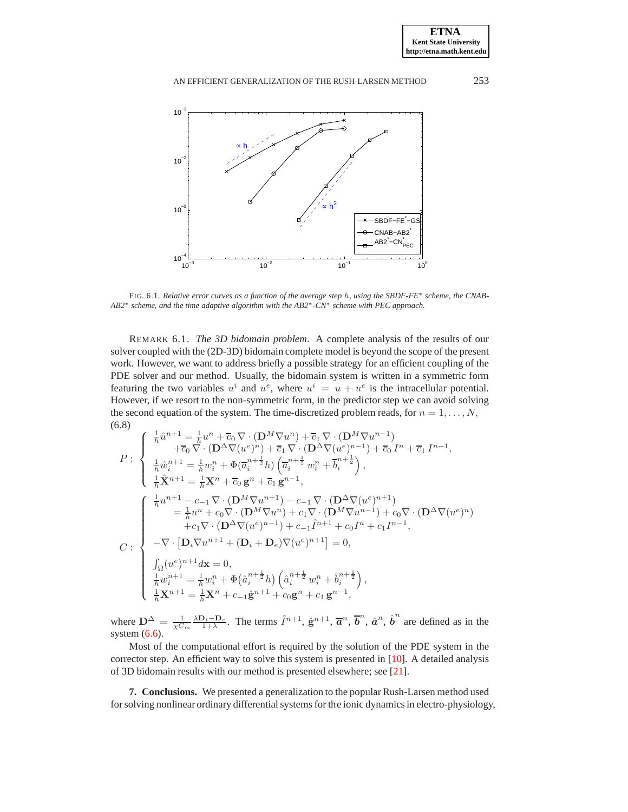**ETNA Kent State University** 



<span id="page-19-0"></span>FIG. 6.1. *Relative error curves as a function of the average step* h*, using the SBDF-FE*<sup>∗</sup> *scheme, the CNAB-AB2*<sup>∗</sup> *scheme, and the time adaptive algorithm with the AB2*∗*-CN*<sup>∗</sup> *scheme with PEC approach.*

REMARK 6.1. *The 3D bidomain problem*. A complete analysis of the results of our solver coupled with the (2D-3D) bidomain complete model is beyond the scope of the present work. However, we want to address briefly a possible strategy for an efficient coupling of the PDE solver and our method. Usually, the bidomain system is written in a symmetric form featuring the two variables  $u^i$  and  $u^e$ , where  $u^i = u + u^e$  is the intracellular potential. However, if we resort to the non-symmetric form, in the predictor step we can avoid solving the second equation of the system. The time-discretized problem reads, for  $n = 1, \ldots, N$ , (6.8)

$$
P: \begin{cases} \frac{1}{h}\hat{u}^{n+1} = \frac{1}{h}u^n + \overline{c}_0 \nabla \cdot (\mathbf{D}^M \nabla u^n) + \overline{c}_1 \nabla \cdot (\mathbf{D}^M \nabla u^{n-1}) \\ + \overline{c}_0 \nabla \cdot (\mathbf{D}^{\Delta} \nabla (u^e)^n) + \overline{c}_1 \nabla \cdot (\mathbf{D}^{\Delta} \nabla (u^e)^{n-1}) + \overline{c}_0 I^n + \overline{c}_1 I^{n-1}, \\ \frac{1}{h}\hat{w}_i^{n+1} = \frac{1}{h}w_i^n + \Phi(\overline{a}_i^{n+\frac{1}{2}}h) \left( \overline{a}_i^{n+\frac{1}{2}} w_i^n + \overline{b}_i^{n+\frac{1}{2}} \right), \\ \frac{1}{h}\hat{\mathbf{X}}^{n+1} = \frac{1}{h} \mathbf{X}^n + \overline{c}_0 \mathbf{g}^n + \overline{c}_1 \mathbf{g}^{n-1}, \\ \begin{cases} \frac{1}{h}u^{n+1} - c_{-1} \nabla \cdot (\mathbf{D}^M \nabla u^{n+1}) - c_{-1} \nabla \cdot (\mathbf{D}^{\Delta} \nabla (u^e)^{n+1}) \\ = \frac{1}{h}u^n + c_0 \nabla \cdot (\mathbf{D}^M \nabla u^n) + c_1 \nabla \cdot (\mathbf{D}^M \nabla u^{n-1}) + c_0 \nabla \cdot (\mathbf{D}^{\Delta} \nabla (u^e)^n) \\ + c_1 \nabla \cdot (\mathbf{D}^{\Delta} \nabla (u^e)^{n-1}) + c_{-1} \hat{I}^{n+1} + c_0 I^n + c_1 I^{n-1}, \\ - \nabla \cdot [\mathbf{D}_i \nabla u^{n+1} + (\mathbf{D}_i + \mathbf{D}_e) \nabla (u^e)^{n+1}] = 0, \\ \int_{\Omega} (u^e)^{n+1} d\mathbf{x} = 0, \\ \frac{1}{h} w_i^{n+1} = \frac{1}{h} w_i^n + \Phi(\hat{a}_i^{n+\frac{1}{2}} h) \left( \hat{a}_i^{n+\frac{1}{2}} w_i^n + \hat
$$

where  $\mathbf{D}^{\Delta} = \frac{1}{\chi C_m}$  $\frac{\lambda \mathbf{D}_i - \mathbf{D}_e}{1 + \lambda}$ . The terms  $\hat{I}^{n+1}$ ,  $\hat{\mathbf{g}}^{n+1}$ ,  $\overline{\boldsymbol{a}}^n$ ,  $\overline{\boldsymbol{b}}^n$ ,  $\hat{\boldsymbol{a}}^n$ ,  $\hat{\boldsymbol{b}}^n$  are defined as in the system  $(6.6)$ .

Most of the computational effort is required by the solution of the PDE system in the corrector step. An efficient way to solve this system is presented in [\[10\]](#page-22-19). A detailed analysis of 3D bidomain results with our method is presented elsewhere; see [\[21\]](#page-22-20).

**7. Conclusions.** We presented a generalization to the popular Rush-Larsen method used for solving nonlinear ordinary differential systems for the ionic dynamics in electro-physiology,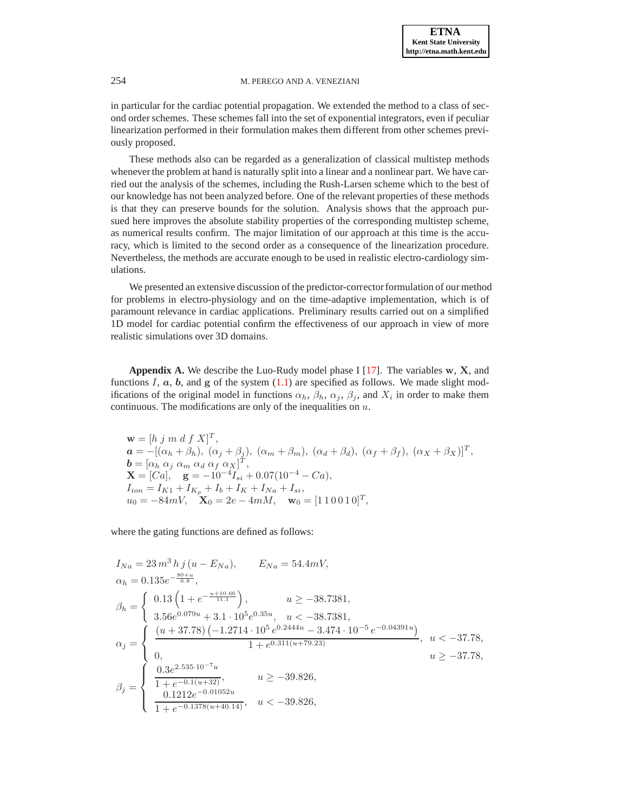in particular for the cardiac potential propagation. We extended the method to a class of second order schemes. These schemes fall into the set of exponential integrators, even if peculiar linearization performed in their formulation makes them different from other schemes previously proposed.

These methods also can be regarded as a generalization of classical multistep methods whenever the problem at hand is naturally split into a linear and a nonlinear part. We have carried out the analysis of the schemes, including the Rush-Larsen scheme which to the best of our knowledge has not been analyzed before. One of the relevant properties of these methods is that they can preserve bounds for the solution. Analysis shows that the approach pursued here improves the absolute stability properties of the corresponding multistep scheme, as numerical results confirm. The major limitation of our approach at this time is the accuracy, which is limited to the second order as a consequence of the linearization procedure. Nevertheless, the methods are accurate enough to be used in realistic electro-cardiology simulations.

We presented an extensive discussion of the predictor-corrector formulation of our method for problems in electro-physiology and on the time-adaptive implementation, which is of paramount relevance in cardiac applications. Preliminary results carried out on a simplified 1D model for cardiac potential confirm the effectiveness of our approach in view of more realistic simulations over 3D domains.

<span id="page-20-0"></span>**Appendix A.** We describe the Luo-Rudy model phase I  $[17]$ . The variables w, X, and functions I,  $a$ ,  $b$ , and  $g$  of the system  $(1.1)$  are specified as follows. We made slight modifications of the original model in functions  $\alpha_h$ ,  $\beta_h$ ,  $\alpha_j$ ,  $\beta_j$ , and  $X_i$  in order to make them continuous. The modifications are only of the inequalities on  $u$ .

 $\mathbf{w} = [h \; j \; m \; d \; f \; X]^T,$  $\boldsymbol{a} = -[(\alpha_h + \beta_h), (\alpha_j + \beta_j), (\alpha_m + \beta_m), (\alpha_d + \beta_d), (\alpha_f + \beta_f), (\alpha_X + \beta_X)]^T,$  $\boldsymbol{b} = [\alpha_h \ \alpha_j \ \alpha_m \ \alpha_d \ \alpha_f \ \alpha_X]^T,$  $\mathbf{X} = [Ca], \quad \mathbf{g} = -10^{-4}I_{si} + 0.07(10^{-4} - Ca),$  $I_{ion} = I_{K1} + I_{K_p} + I_b + I_K + I_{Na} + I_{si},$  $u_0 = -84mV, \quad \mathbf{X}_0 = 2e - 4mM, \quad \mathbf{w}_0 = [1\ 1\ 0\ 0\ 1\ 0]^T,$ 

where the gating functions are defined as follows:

$$
I_{Na} = 23 m^3 h j (u - E_{Na}), \t E_{Na} = 54.4 mV,
$$
  
\n
$$
\alpha_h = 0.135 e^{-\frac{80+u}{6.8}},
$$
  
\n
$$
\beta_h = \begin{cases}\n0.13 \left(1 + e^{-\frac{u+10.66}{11.1}}\right), & u \ge -38.7381, \\
3.56 e^{0.079u} + 3.1 \cdot 10^5 e^{0.35u}, & u < -38.7381, \\
0. & 1 + e^{0.311(u+79.23)}, & u \ge -37.78, \\
0. & u \ge -37.78, \\
\frac{0.3 e^{2.535 \cdot 10^{-7}u}}{1 + e^{-0.1(u+32)}}, & u \ge -39.826, \\
\frac{0.1212 e^{-0.01052u}}{1 + e^{-0.1378(u+40.14)}}, & u < -39.826,\n\end{cases}
$$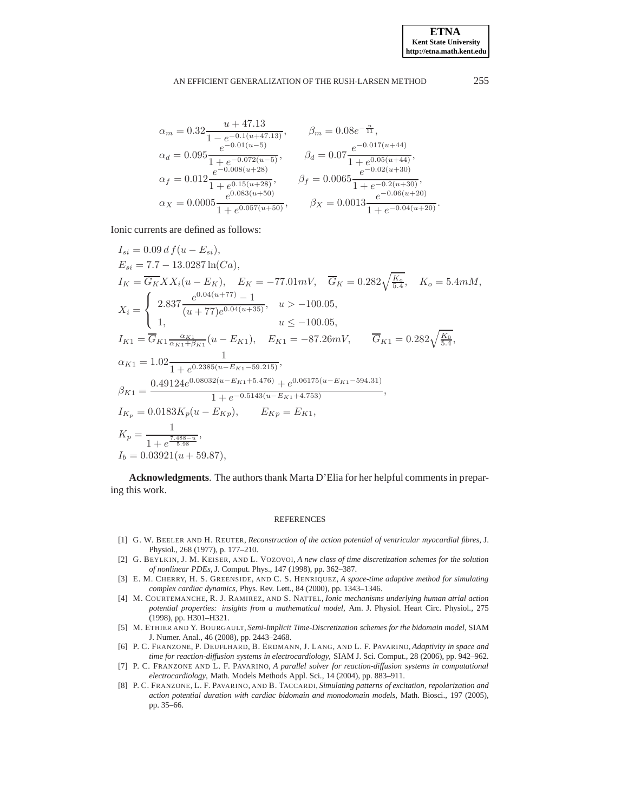$$
\alpha_m = 0.32 \frac{u + 47.13}{1 - e^{-0.1(u + 47.13)}}, \qquad \beta_m = 0.08 e^{-\frac{u}{11}},
$$
  
\n
$$
\alpha_d = 0.095 \frac{e^{-0.01(u - 5)}}{1 + e^{-0.072(u - 5)}}, \qquad \beta_d = 0.07 \frac{e^{-0.017(u + 44)}}{1 + e^{0.05(u + 44)}},
$$
  
\n
$$
\alpha_f = 0.012 \frac{e^{-0.008(u + 28)}}{1 + e^{0.15(u + 28)}}, \qquad \beta_f = 0.0065 \frac{e^{-0.02(u + 30)}}{1 + e^{-0.2(u + 30)}},
$$
  
\n
$$
\alpha_X = 0.0005 \frac{e^{0.083(u + 50)}}{1 + e^{0.057(u + 50)}}, \qquad \beta_X = 0.0013 \frac{e^{-0.06(u + 20)}}{1 + e^{-0.04(u + 20)}}.
$$

Ionic currents are defined as follows:

$$
I_{si} = 0.09 df (u - E_{si}),
$$
  
\n
$$
E_{si} = 7.7 - 13.0287 \ln(Ca),
$$
  
\n
$$
I_{K} = \overline{G_{K}} XX_{i} (u - E_{K}), \quad E_{K} = -77.01 mV, \quad \overline{G}_{K} = 0.282 \sqrt{\frac{K_{o}}{5.4}}, \quad K_{o} = 5.4 mM,
$$
  
\n
$$
X_{i} = \begin{cases} 2.837 \frac{e^{0.04(u + 77)} - 1}{(u + 77)e^{0.04(u + 35)}}, & u > -100.05, \\ 1, & u \le -100.05, \end{cases}
$$
  
\n
$$
I_{K1} = \overline{G}_{K1} \frac{\alpha_{K1}}{\alpha_{K1} + \beta_{K1}} (u - E_{K1}), \quad E_{K1} = -87.26 mV, \quad \overline{G}_{K1} = 0.282 \sqrt{\frac{K_{0}}{5.4}},
$$
  
\n
$$
\alpha_{K1} = 1.02 \frac{1}{1 + e^{0.2385(u - E_{K1} - 59.215)}},
$$
  
\n
$$
\beta_{K1} = \frac{0.49124e^{0.08032(u - E_{K1} + 5.476)} + e^{0.06175(u - E_{K1} - 594.31)}}{1 + e^{-0.5143(u - E_{K1} + 4.753)}},
$$
  
\n
$$
I_{K_{p}} = 0.0183 K_{p} (u - E_{Kp}), \quad E_{K_{p}} = E_{K1},
$$
  
\n
$$
K_{p} = \frac{1}{1 + e^{\frac{7.488 - u}{5.98}}},
$$
  
\n
$$
I_{b} = 0.03921(u + 59.87),
$$

**Acknowledgments**. The authors thank Marta D'Elia for her helpful comments in preparing this work.

### REFERENCES

- <span id="page-21-0"></span>[1] G. W. BEELER AND H. REUTER, *Reconstruction of the action potential of ventricular myocardial fibres*, J. Physiol., 268 (1977), p. 177–210.
- <span id="page-21-6"></span>[2] G. BEYLKIN, J. M. KEISER, AND L. VOZOVOI, *A new class of time discretization schemes for the solution of nonlinear PDEs*, J. Comput. Phys., 147 (1998), pp. 362–387.
- <span id="page-21-4"></span>[3] E. M. CHERRY, H. S. GREENSIDE, AND C. S. HENRIQUEZ, *A space-time adaptive method for simulating complex cardiac dynamics*, Phys. Rev. Lett., 84 (2000), pp. 1343–1346.
- <span id="page-21-1"></span>[4] M. COURTEMANCHE, R. J. RAMIREZ, AND S. NATTEL, *Ionic mechanisms underlying human atrial action potential properties: insights from a mathematical model*, Am. J. Physiol. Heart Circ. Physiol., 275 (1998), pp. H301–H321.
- <span id="page-21-2"></span>[5] M. ETHIER AND Y. BOURGAULT, *Semi-Implicit Time-Discretization schemes for the bidomain model*, SIAM J. Numer. Anal., 46 (2008), pp. 2443–2468.
- <span id="page-21-5"></span>[6] P. C. FRANZONE, P. DEUFLHARD, B. ERDMANN, J. LANG, AND L. F. PAVARINO, *Adaptivity in space and time for reaction-diffusion systems in electrocardiology*, SIAM J. Sci. Comput., 28 (2006), pp. 942–962.
- <span id="page-21-3"></span>[7] P. C. FRANZONE AND L. F. PAVARINO, *A parallel solver for reaction-diffusion systems in computational electrocardiology*, Math. Models Methods Appl. Sci., 14 (2004), pp. 883–911.
- <span id="page-21-7"></span>[8] P. C. FRANZONE, L. F. PAVARINO, AND B. TACCARDI, *Simulating patterns of excitation, repolarization and action potential duration with cardiac bidomain and monodomain models*, Math. Biosci., 197 (2005), pp. 35–66.